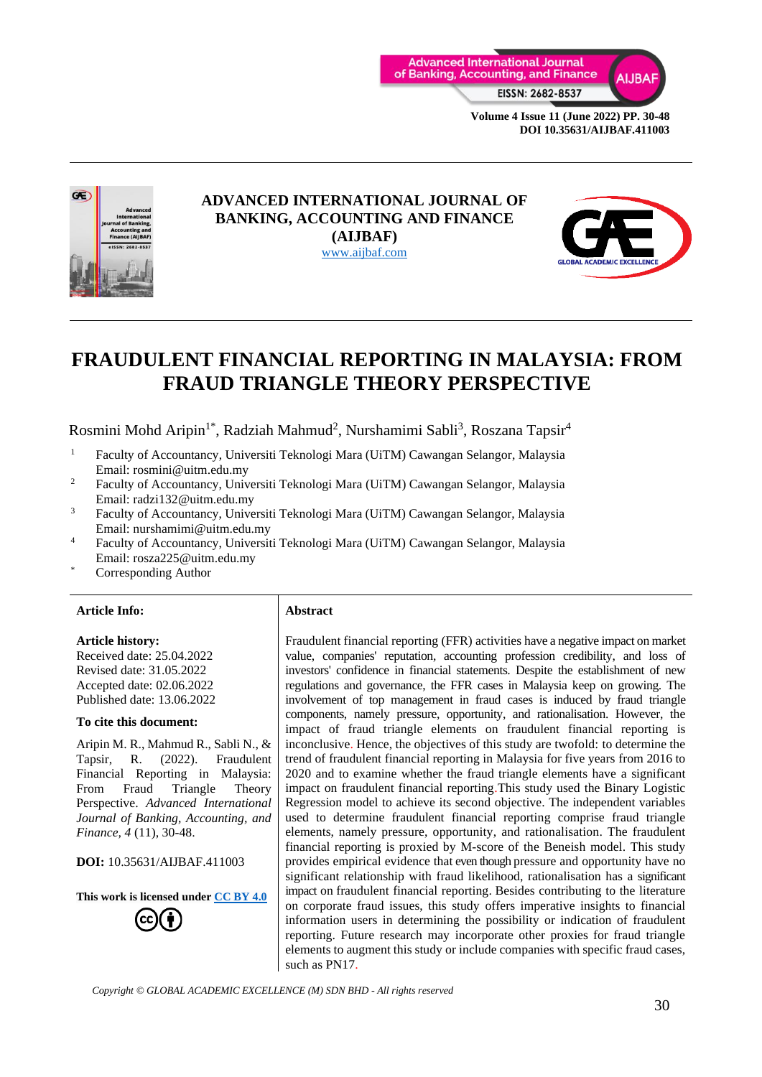



### **ADVANCED INTERNATIONAL JOURNAL OF BANKING, ACCOUNTING AND FINANCE (AIJBAF)** [www.aijbaf.com](http://www.aijbaf.com/)



# **FRAUDULENT FINANCIAL REPORTING IN MALAYSIA: FROM FRAUD TRIANGLE THEORY PERSPECTIVE**

Rosmini Mohd Aripin<sup>1\*</sup>, Radziah Mahmud<sup>2</sup>, Nurshamimi Sabli<sup>3</sup>, Roszana Tapsir<sup>4</sup>

- <sup>1</sup> Faculty of Accountancy, Universiti Teknologi Mara (UiTM) Cawangan Selangor, Malaysia Email: rosmini@uitm.edu.my
- <sup>2</sup> Faculty of Accountancy, Universiti Teknologi Mara (UiTM) Cawangan Selangor, Malaysia Email: radzi132@uitm.edu.my
- 3 Faculty of Accountancy, Universiti Teknologi Mara (UiTM) Cawangan Selangor, Malaysia Email: nurshamimi@uitm.edu.my
- 4 Faculty of Accountancy, Universiti Teknologi Mara (UiTM) Cawangan Selangor, Malaysia Email: rosza225@uitm.edu.my
- Corresponding Author

#### **Article Info: Abstract**

#### **Article history:**

Received date: 25.04.2022 Revised date: 31.05.2022 Accepted date: 02.06.2022 Published date: 13.06.2022

#### **To cite this document:**

Aripin M. R., Mahmud R., Sabli N., & Tapsir, R. (2022). Fraudulent Financial Reporting in Malaysia: From Fraud Triangle Theory Perspective. *Advanced International Journal of Banking, Accounting, and Finance, 4* (11), 30-48.

**DOI:** 10.35631/AIJBAF.411003

**This work is licensed under [CC BY 4.0](https://creativecommons.org/licenses/by/4.0/?ref=chooser-v1)**

Fraudulent financial reporting (FFR) activities have a negative impact on market value, companies' reputation, accounting profession credibility, and loss of investors' confidence in financial statements. Despite the establishment of new regulations and governance, the FFR cases in Malaysia keep on growing. The involvement of top management in fraud cases is induced by fraud triangle components, namely pressure, opportunity, and rationalisation. However, the impact of fraud triangle elements on fraudulent financial reporting is inconclusive. Hence, the objectives of this study are twofold: to determine the trend of fraudulent financial reporting in Malaysia for five years from 2016 to 2020 and to examine whether the fraud triangle elements have a significant impact on fraudulent financial reporting.This study used the Binary Logistic Regression model to achieve its second objective. The independent variables used to determine fraudulent financial reporting comprise fraud triangle elements, namely pressure, opportunity, and rationalisation. The fraudulent financial reporting is proxied by M-score of the Beneish model. This study provides empirical evidence that even though pressure and opportunity have no significant relationship with fraud likelihood, rationalisation has a significant impact on fraudulent financial reporting. Besides contributing to the literature on corporate fraud issues, this study offers imperative insights to financial information users in determining the possibility or indication of fraudulent reporting. Future research may incorporate other proxies for fraud triangle elements to augment this study or include companies with specific fraud cases, such as PN17.

*Copyright © GLOBAL ACADEMIC EXCELLENCE (M) SDN BHD - All rights reserved*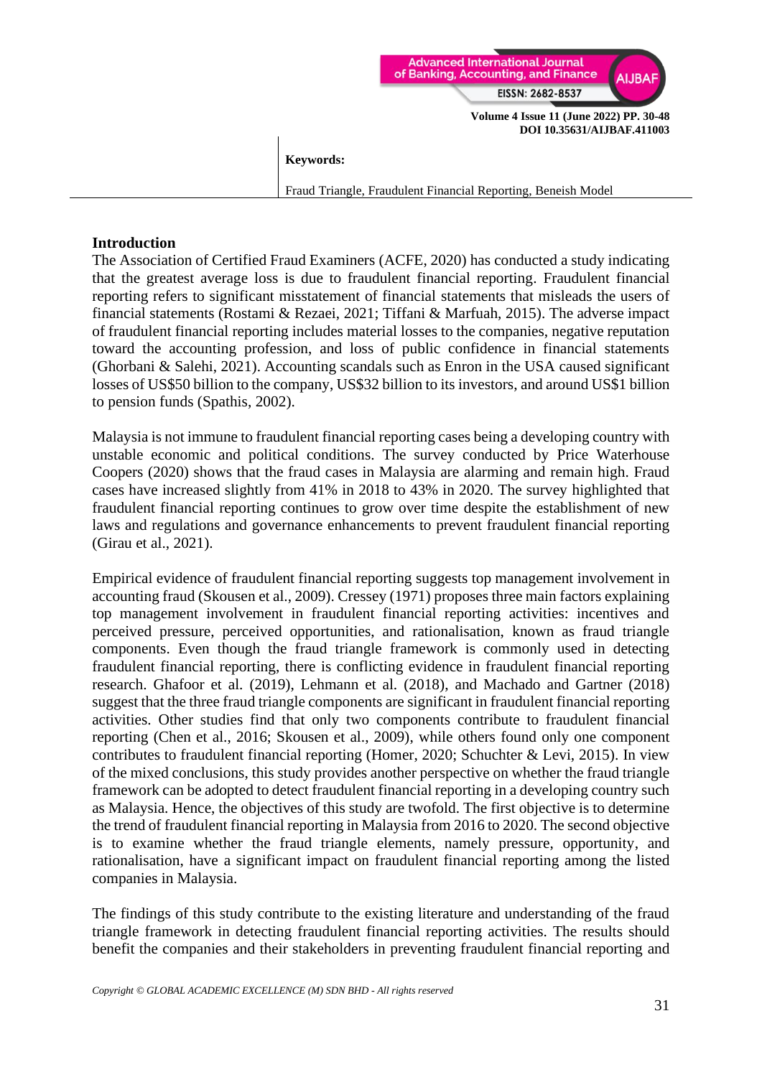

#### **Keywords:**

Fraud Triangle, Fraudulent Financial Reporting, Beneish Model

#### **Introduction**

The Association of Certified Fraud Examiners (ACFE, 2020) has conducted a study indicating that the greatest average loss is due to fraudulent financial reporting. Fraudulent financial reporting refers to significant misstatement of financial statements that misleads the users of financial statements (Rostami & Rezaei, 2021; Tiffani & Marfuah, 2015). The adverse impact of fraudulent financial reporting includes material losses to the companies, negative reputation toward the accounting profession, and loss of public confidence in financial statements (Ghorbani & Salehi, 2021). Accounting scandals such as Enron in the USA caused significant losses of US\$50 billion to the company, US\$32 billion to its investors, and around US\$1 billion to pension funds (Spathis, 2002).

Malaysia is not immune to fraudulent financial reporting cases being a developing country with unstable economic and political conditions. The survey conducted by Price Waterhouse Coopers (2020) shows that the fraud cases in Malaysia are alarming and remain high. Fraud cases have increased slightly from 41% in 2018 to 43% in 2020. The survey highlighted that fraudulent financial reporting continues to grow over time despite the establishment of new laws and regulations and governance enhancements to prevent fraudulent financial reporting (Girau et al., 2021).

Empirical evidence of fraudulent financial reporting suggests top management involvement in accounting fraud (Skousen et al., 2009). Cressey (1971) proposes three main factors explaining top management involvement in fraudulent financial reporting activities: incentives and perceived pressure, perceived opportunities, and rationalisation, known as fraud triangle components. Even though the fraud triangle framework is commonly used in detecting fraudulent financial reporting, there is conflicting evidence in fraudulent financial reporting research. Ghafoor et al. (2019), Lehmann et al. (2018), and Machado and Gartner (2018) suggest that the three fraud triangle components are significant in fraudulent financial reporting activities. Other studies find that only two components contribute to fraudulent financial reporting (Chen et al., 2016; Skousen et al., 2009), while others found only one component contributes to fraudulent financial reporting (Homer, 2020; Schuchter & Levi, 2015). In view of the mixed conclusions, this study provides another perspective on whether the fraud triangle framework can be adopted to detect fraudulent financial reporting in a developing country such as Malaysia. Hence, the objectives of this study are twofold. The first objective is to determine the trend of fraudulent financial reporting in Malaysia from 2016 to 2020. The second objective is to examine whether the fraud triangle elements, namely pressure, opportunity, and rationalisation, have a significant impact on fraudulent financial reporting among the listed companies in Malaysia.

The findings of this study contribute to the existing literature and understanding of the fraud triangle framework in detecting fraudulent financial reporting activities. The results should benefit the companies and their stakeholders in preventing fraudulent financial reporting and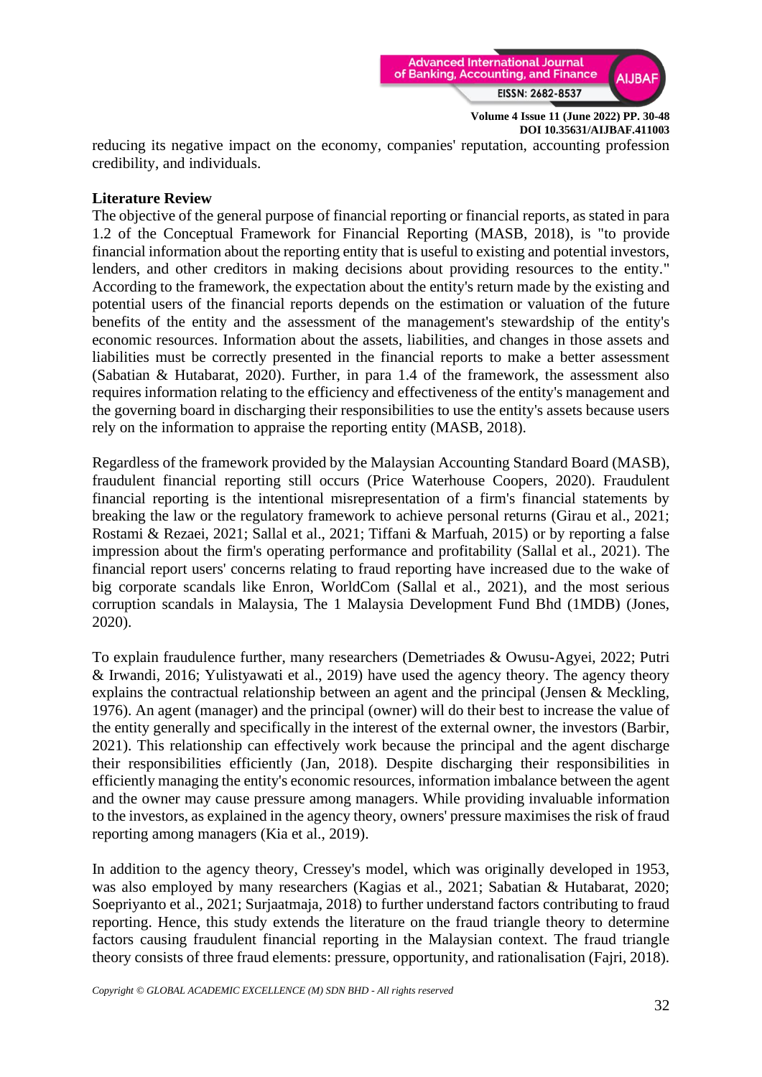

reducing its negative impact on the economy, companies' reputation, accounting profession credibility, and individuals.

## **Literature Review**

The objective of the general purpose of financial reporting or financial reports, as stated in para 1.2 of the Conceptual Framework for Financial Reporting (MASB, 2018), is "to provide financial information about the reporting entity that is useful to existing and potential investors, lenders, and other creditors in making decisions about providing resources to the entity." According to the framework, the expectation about the entity's return made by the existing and potential users of the financial reports depends on the estimation or valuation of the future benefits of the entity and the assessment of the management's stewardship of the entity's economic resources. Information about the assets, liabilities, and changes in those assets and liabilities must be correctly presented in the financial reports to make a better assessment (Sabatian & Hutabarat, 2020). Further, in para 1.4 of the framework, the assessment also requires information relating to the efficiency and effectiveness of the entity's management and the governing board in discharging their responsibilities to use the entity's assets because users rely on the information to appraise the reporting entity (MASB, 2018).

Regardless of the framework provided by the Malaysian Accounting Standard Board (MASB), fraudulent financial reporting still occurs (Price Waterhouse Coopers, 2020). Fraudulent financial reporting is the intentional misrepresentation of a firm's financial statements by breaking the law or the regulatory framework to achieve personal returns (Girau et al., 2021; Rostami & Rezaei, 2021; Sallal et al., 2021; Tiffani & Marfuah, 2015) or by reporting a false impression about the firm's operating performance and profitability (Sallal et al., 2021). The financial report users' concerns relating to fraud reporting have increased due to the wake of big corporate scandals like Enron, WorldCom (Sallal et al., 2021), and the most serious corruption scandals in Malaysia, The 1 Malaysia Development Fund Bhd (1MDB) (Jones, 2020).

To explain fraudulence further, many researchers (Demetriades & Owusu-Agyei, 2022; Putri & Irwandi, 2016; Yulistyawati et al., 2019) have used the agency theory. The agency theory explains the contractual relationship between an agent and the principal (Jensen & Meckling, 1976). An agent (manager) and the principal (owner) will do their best to increase the value of the entity generally and specifically in the interest of the external owner, the investors (Barbir, 2021). This relationship can effectively work because the principal and the agent discharge their responsibilities efficiently (Jan, 2018). Despite discharging their responsibilities in efficiently managing the entity's economic resources, information imbalance between the agent and the owner may cause pressure among managers. While providing invaluable information to the investors, as explained in the agency theory, owners' pressure maximises the risk of fraud reporting among managers (Kia et al., 2019).

In addition to the agency theory, Cressey's model, which was originally developed in 1953, was also employed by many researchers (Kagias et al., 2021; Sabatian & Hutabarat, 2020; Soepriyanto et al., 2021; Surjaatmaja, 2018) to further understand factors contributing to fraud reporting. Hence, this study extends the literature on the fraud triangle theory to determine factors causing fraudulent financial reporting in the Malaysian context. The fraud triangle theory consists of three fraud elements: pressure, opportunity, and rationalisation (Fajri, 2018).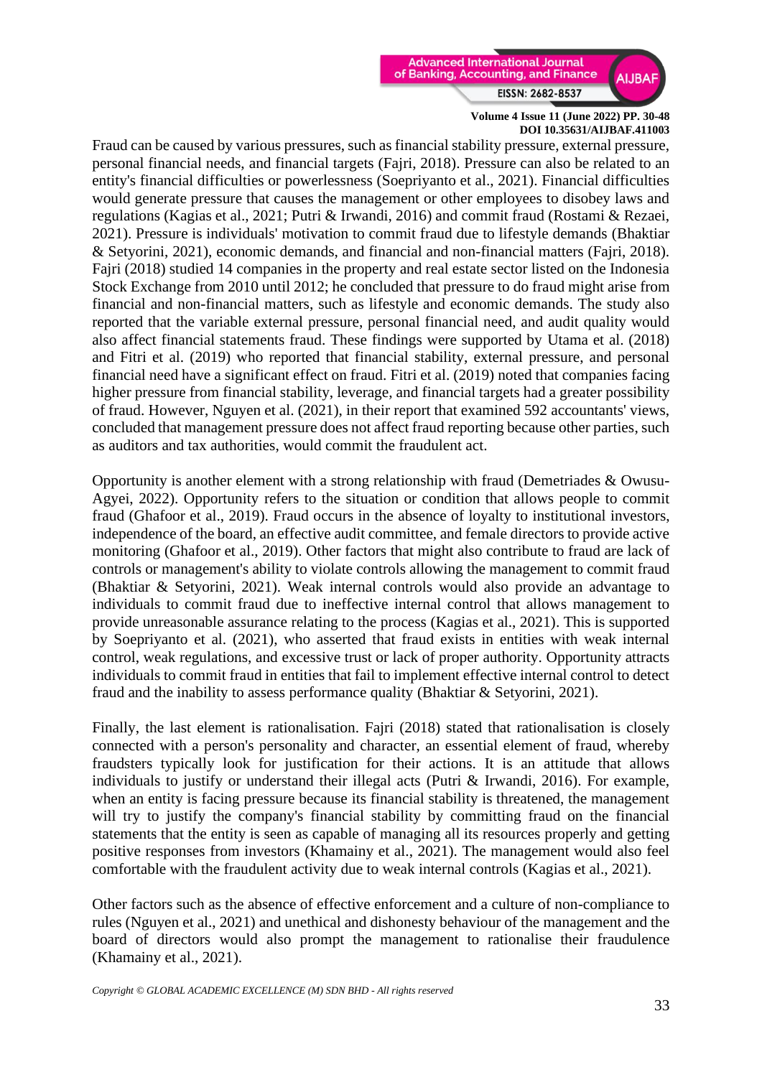

Fraud can be caused by various pressures, such as financial stability pressure, external pressure, personal financial needs, and financial targets (Fajri, 2018). Pressure can also be related to an entity's financial difficulties or powerlessness (Soepriyanto et al., 2021). Financial difficulties would generate pressure that causes the management or other employees to disobey laws and regulations (Kagias et al., 2021; Putri & Irwandi, 2016) and commit fraud (Rostami & Rezaei, 2021). Pressure is individuals' motivation to commit fraud due to lifestyle demands (Bhaktiar & Setyorini, 2021), economic demands, and financial and non-financial matters (Fajri, 2018). Fajri (2018) studied 14 companies in the property and real estate sector listed on the Indonesia Stock Exchange from 2010 until 2012; he concluded that pressure to do fraud might arise from financial and non-financial matters, such as lifestyle and economic demands. The study also reported that the variable external pressure, personal financial need, and audit quality would also affect financial statements fraud. These findings were supported by Utama et al. (2018) and Fitri et al. (2019) who reported that financial stability, external pressure, and personal financial need have a significant effect on fraud. Fitri et al. (2019) noted that companies facing higher pressure from financial stability, leverage, and financial targets had a greater possibility of fraud. However, Nguyen et al. (2021), in their report that examined 592 accountants' views, concluded that management pressure does not affect fraud reporting because other parties, such as auditors and tax authorities, would commit the fraudulent act.

Opportunity is another element with a strong relationship with fraud (Demetriades & Owusu-Agyei, 2022). Opportunity refers to the situation or condition that allows people to commit fraud (Ghafoor et al., 2019). Fraud occurs in the absence of loyalty to institutional investors, independence of the board, an effective audit committee, and female directors to provide active monitoring (Ghafoor et al., 2019). Other factors that might also contribute to fraud are lack of controls or management's ability to violate controls allowing the management to commit fraud (Bhaktiar & Setyorini, 2021). Weak internal controls would also provide an advantage to individuals to commit fraud due to ineffective internal control that allows management to provide unreasonable assurance relating to the process (Kagias et al., 2021). This is supported by Soepriyanto et al. (2021), who asserted that fraud exists in entities with weak internal control, weak regulations, and excessive trust or lack of proper authority. Opportunity attracts individuals to commit fraud in entities that fail to implement effective internal control to detect fraud and the inability to assess performance quality (Bhaktiar & Setyorini, 2021).

Finally, the last element is rationalisation. Fajri (2018) stated that rationalisation is closely connected with a person's personality and character, an essential element of fraud, whereby fraudsters typically look for justification for their actions. It is an attitude that allows individuals to justify or understand their illegal acts (Putri & Irwandi, 2016). For example, when an entity is facing pressure because its financial stability is threatened, the management will try to justify the company's financial stability by committing fraud on the financial statements that the entity is seen as capable of managing all its resources properly and getting positive responses from investors (Khamainy et al., 2021). The management would also feel comfortable with the fraudulent activity due to weak internal controls (Kagias et al., 2021).

Other factors such as the absence of effective enforcement and a culture of non-compliance to rules (Nguyen et al., 2021) and unethical and dishonesty behaviour of the management and the board of directors would also prompt the management to rationalise their fraudulence (Khamainy et al., 2021).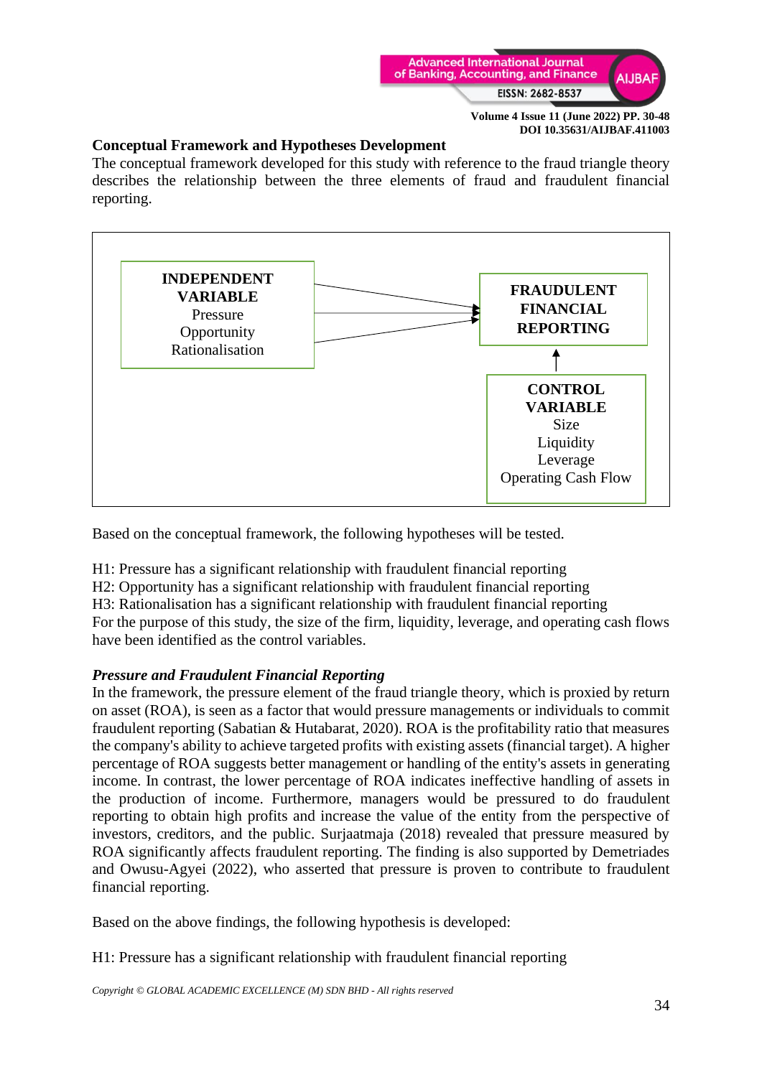

## **Conceptual Framework and Hypotheses Development**

The conceptual framework developed for this study with reference to the fraud triangle theory describes the relationship between the three elements of fraud and fraudulent financial reporting.



Based on the conceptual framework, the following hypotheses will be tested.

H1: Pressure has a significant relationship with fraudulent financial reporting

H2: Opportunity has a significant relationship with fraudulent financial reporting

H3: Rationalisation has a significant relationship with fraudulent financial reporting

For the purpose of this study, the size of the firm, liquidity, leverage, and operating cash flows have been identified as the control variables.

## *Pressure and Fraudulent Financial Reporting*

In the framework, the pressure element of the fraud triangle theory, which is proxied by return on asset (ROA), is seen as a factor that would pressure managements or individuals to commit fraudulent reporting (Sabatian & Hutabarat, 2020). ROA is the profitability ratio that measures the company's ability to achieve targeted profits with existing assets (financial target). A higher percentage of ROA suggests better management or handling of the entity's assets in generating income. In contrast, the lower percentage of ROA indicates ineffective handling of assets in the production of income. Furthermore, managers would be pressured to do fraudulent reporting to obtain high profits and increase the value of the entity from the perspective of investors, creditors, and the public. Surjaatmaja (2018) revealed that pressure measured by ROA significantly affects fraudulent reporting. The finding is also supported by Demetriades and Owusu-Agyei (2022), who asserted that pressure is proven to contribute to fraudulent financial reporting.

Based on the above findings, the following hypothesis is developed:

H1: Pressure has a significant relationship with fraudulent financial reporting

*Copyright © GLOBAL ACADEMIC EXCELLENCE (M) SDN BHD - All rights reserved*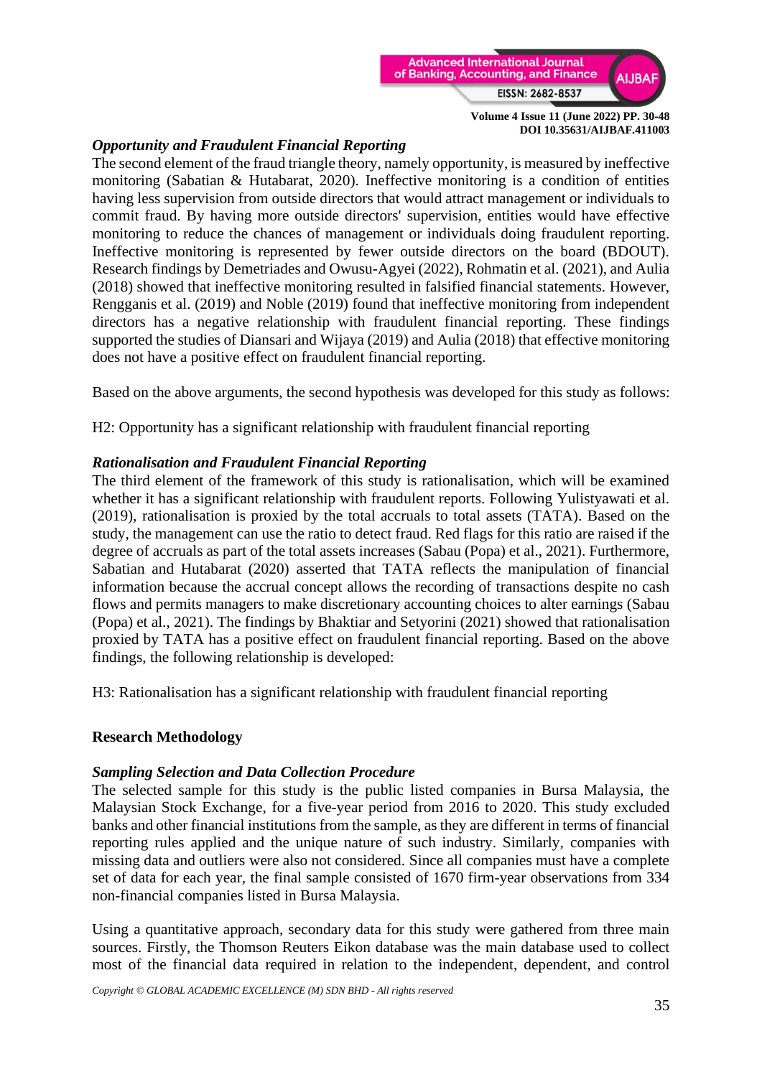

## *Opportunity and Fraudulent Financial Reporting*

The second element of the fraud triangle theory, namely opportunity, is measured by ineffective monitoring (Sabatian & Hutabarat, 2020). Ineffective monitoring is a condition of entities having less supervision from outside directors that would attract management or individuals to commit fraud. By having more outside directors' supervision, entities would have effective monitoring to reduce the chances of management or individuals doing fraudulent reporting. Ineffective monitoring is represented by fewer outside directors on the board (BDOUT). Research findings by Demetriades and Owusu-Agyei (2022), Rohmatin et al. (2021), and Aulia (2018) showed that ineffective monitoring resulted in falsified financial statements. However, Rengganis et al. (2019) and Noble (2019) found that ineffective monitoring from independent directors has a negative relationship with fraudulent financial reporting. These findings supported the studies of Diansari and Wijaya (2019) and Aulia (2018) that effective monitoring does not have a positive effect on fraudulent financial reporting.

Based on the above arguments, the second hypothesis was developed for this study as follows:

H2: Opportunity has a significant relationship with fraudulent financial reporting

## *Rationalisation and Fraudulent Financial Reporting*

The third element of the framework of this study is rationalisation, which will be examined whether it has a significant relationship with fraudulent reports. Following Yulistyawati et al. (2019), rationalisation is proxied by the total accruals to total assets (TATA). Based on the study, the management can use the ratio to detect fraud. Red flags for this ratio are raised if the degree of accruals as part of the total assets increases (Sabau (Popa) et al., 2021). Furthermore, Sabatian and Hutabarat (2020) asserted that TATA reflects the manipulation of financial information because the accrual concept allows the recording of transactions despite no cash flows and permits managers to make discretionary accounting choices to alter earnings (Sabau (Popa) et al., 2021). The findings by Bhaktiar and Setyorini (2021) showed that rationalisation proxied by TATA has a positive effect on fraudulent financial reporting. Based on the above findings, the following relationship is developed:

H3: Rationalisation has a significant relationship with fraudulent financial reporting

### **Research Methodology**

### *Sampling Selection and Data Collection Procedure*

The selected sample for this study is the public listed companies in Bursa Malaysia, the Malaysian Stock Exchange, for a five-year period from 2016 to 2020. This study excluded banks and other financial institutions from the sample, as they are different in terms of financial reporting rules applied and the unique nature of such industry. Similarly, companies with missing data and outliers were also not considered. Since all companies must have a complete set of data for each year, the final sample consisted of 1670 firm-year observations from 334 non-financial companies listed in Bursa Malaysia.

Using a quantitative approach, secondary data for this study were gathered from three main sources. Firstly, the Thomson Reuters Eikon database was the main database used to collect most of the financial data required in relation to the independent, dependent, and control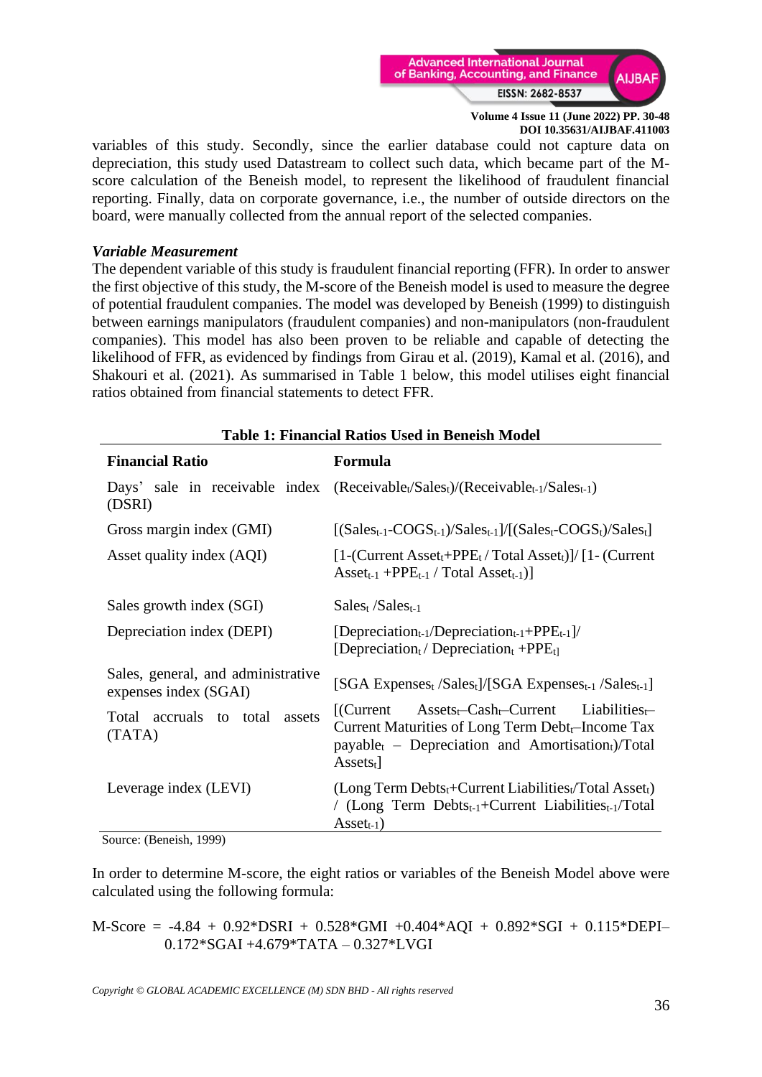

variables of this study. Secondly, since the earlier database could not capture data on depreciation, this study used Datastream to collect such data, which became part of the Mscore calculation of the Beneish model, to represent the likelihood of fraudulent financial reporting. Finally, data on corporate governance, i.e., the number of outside directors on the board, were manually collected from the annual report of the selected companies.

### *Variable Measurement*

The dependent variable of this study is fraudulent financial reporting (FFR). In order to answer the first objective of this study, the M-score of the Beneish model is used to measure the degree of potential fraudulent companies. The model was developed by Beneish (1999) to distinguish between earnings manipulators (fraudulent companies) and non-manipulators (non-fraudulent companies). This model has also been proven to be reliable and capable of detecting the likelihood of FFR, as evidenced by findings from Girau et al. (2019), Kamal et al. (2016), and Shakouri et al. (2021). As summarised in Table 1 below, this model utilises eight financial ratios obtained from financial statements to detect FFR.

| тамс те пишки кано сма ш всплян поло                                 |                                                                                                                                                                                                                                                |  |  |  |  |
|----------------------------------------------------------------------|------------------------------------------------------------------------------------------------------------------------------------------------------------------------------------------------------------------------------------------------|--|--|--|--|
| <b>Financial Ratio</b>                                               | <b>Formula</b>                                                                                                                                                                                                                                 |  |  |  |  |
| (DSRI)                                                               | Days' sale in receivable index (Receivable <sub>t</sub> /Salest)/(Receivable <sub>t-1</sub> /Salest-1)                                                                                                                                         |  |  |  |  |
| Gross margin index (GMI)                                             | $[(Salest-1-COGSt-1)/Salest-1]/[(Salest-COGSt)/Salest]$                                                                                                                                                                                        |  |  |  |  |
| Asset quality index (AQI)                                            | $[1-(Current Assett+PPEt/Total Assett)]/[1-(Current$<br>$\text{Asset}_{t-1}$ +PPE <sub>t-1</sub> / Total $\text{ Asset}_{t-1}$ )]                                                                                                              |  |  |  |  |
| Sales growth index (SGI)                                             | $Sales_t/Sales_{t-1}$                                                                                                                                                                                                                          |  |  |  |  |
| Depreciation index (DEPI)                                            | [Depreciation <sub>t-1</sub> /Depreciation <sub>t-1</sub> +PPE <sub>t-1</sub> ]/<br>[Depreciation <sub>t</sub> / Depreciation <sub>t</sub> +PPE <sub>t]</sub>                                                                                  |  |  |  |  |
| Sales, general, and administrative<br>expenses index (SGAI)          | [SGA Expenses <sub>t</sub> /Sales <sub>t</sub> ]/[SGA Expenses <sub>t-1</sub> /Sales <sub>t-1</sub> ]                                                                                                                                          |  |  |  |  |
| Total accruals to total<br>assets<br>(TATA)                          | $\text{Assets}_{t}$ -Cash <sub>t</sub> -Current<br>Liabilities $\leftarrow$<br>$[$ (Current<br>Current Maturities of Long Term $Debt_t$ -Income Tax<br>$payable_t$ – Depreciation and Amortisation <sub>t</sub> )/Total<br>$\text{Assets}_{t}$ |  |  |  |  |
| Leverage index (LEVI)<br>$R_{\text{out}}$ (D <sub>onorch</sub> 1000) | $(Long Term Debts_t + Current Liabilities_t / Total Asset_t)$<br>/ (Long Term Debts <sub>t-1</sub> +Current Liabilities <sub>t-1</sub> /Total<br>$\text{Asset}_{t-1}$ )                                                                        |  |  |  |  |

**Table 1: Financial Ratios Used in Beneish Model**

Source: (Beneish, 1999)

In order to determine M-score, the eight ratios or variables of the Beneish Model above were calculated using the following formula:

M-Score = -4.84 + 0.92\*DSRI + 0.528\*GMI +0.404\*AQI + 0.892\*SGI + 0.115\*DEPI– 0.172\*SGAI +4.679\*TATA – 0.327\*LVGI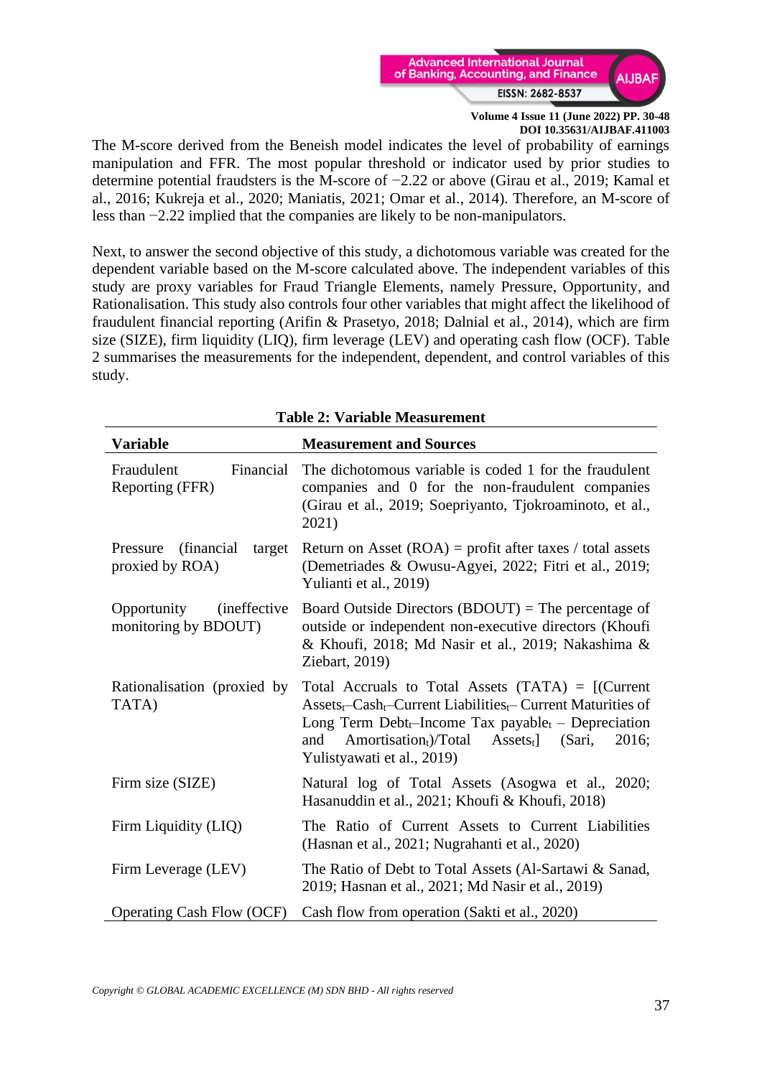

The M-score derived from the Beneish model indicates the level of probability of earnings manipulation and FFR. The most popular threshold or indicator used by prior studies to determine potential fraudsters is the M-score of −2.22 or above (Girau et al., 2019; Kamal et al., 2016; Kukreja et al., 2020; Maniatis, 2021; Omar et al., 2014). Therefore, an M-score of less than −2.22 implied that the companies are likely to be non-manipulators.

Next, to answer the second objective of this study, a dichotomous variable was created for the dependent variable based on the M-score calculated above. The independent variables of this study are proxy variables for Fraud Triangle Elements, namely Pressure, Opportunity, and Rationalisation. This study also controls four other variables that might affect the likelihood of fraudulent financial reporting (Arifin & Prasetyo, 2018; Dalnial et al., 2014), which are firm size (SIZE), firm liquidity (LIQ), firm leverage (LEV) and operating cash flow (OCF). Table 2 summarises the measurements for the independent, dependent, and control variables of this study.

| Table 2: Variable Measurement                               |                                                                                                                                                                                                                                                                                                                                                           |  |  |  |
|-------------------------------------------------------------|-----------------------------------------------------------------------------------------------------------------------------------------------------------------------------------------------------------------------------------------------------------------------------------------------------------------------------------------------------------|--|--|--|
| <b>Variable</b>                                             | <b>Measurement and Sources</b>                                                                                                                                                                                                                                                                                                                            |  |  |  |
| Fraudulent<br>Financial<br>Reporting (FFR)                  | The dichotomous variable is coded 1 for the fraudulent<br>companies and 0 for the non-fraudulent companies<br>(Girau et al., 2019; Soepriyanto, Tjokroaminoto, et al.,<br>2021)                                                                                                                                                                           |  |  |  |
| Pressure<br>(financial)<br>target<br>proxied by ROA)        | Return on Asset $(ROA)$ = profit after taxes / total assets<br>(Demetriades & Owusu-Agyei, 2022; Fitri et al., 2019;<br>Yulianti et al., 2019)                                                                                                                                                                                                            |  |  |  |
| Opportunity<br><i>(ineffective)</i><br>monitoring by BDOUT) | Board Outside Directors $(BDOUT)$ = The percentage of<br>outside or independent non-executive directors (Khoufi<br>& Khoufi, 2018; Md Nasir et al., 2019; Nakashima &<br>Ziebart, 2019)                                                                                                                                                                   |  |  |  |
| Rationalisation (proxied by<br>TATA)                        | Total Accruals to Total Assets $(TATA) = [(Current$<br>$\text{Assets}_{t}$ -Cash <sub>t</sub> -Current Liabilities <sub>t</sub> -Current Maturities of<br>Long Term Debt <sub>t</sub> -Income Tax payable <sub>t</sub> - Depreciation<br>Amortisation <sub>t</sub> )/Total<br>$\text{Assets}_{t}$<br>(Sari,<br>2016;<br>and<br>Yulistyawati et al., 2019) |  |  |  |
| Firm size (SIZE)                                            | Natural log of Total Assets (Asogwa et al., 2020;<br>Hasanuddin et al., 2021; Khoufi & Khoufi, 2018)                                                                                                                                                                                                                                                      |  |  |  |
| Firm Liquidity (LIQ)                                        | The Ratio of Current Assets to Current Liabilities<br>(Hasnan et al., 2021; Nugrahanti et al., 2020)                                                                                                                                                                                                                                                      |  |  |  |
| Firm Leverage (LEV)                                         | The Ratio of Debt to Total Assets (Al-Sartawi & Sanad,<br>2019; Hasnan et al., 2021; Md Nasir et al., 2019)                                                                                                                                                                                                                                               |  |  |  |
| <b>Operating Cash Flow (OCF)</b>                            | Cash flow from operation (Sakti et al., 2020)                                                                                                                                                                                                                                                                                                             |  |  |  |

**Table 2: Variable Measurement**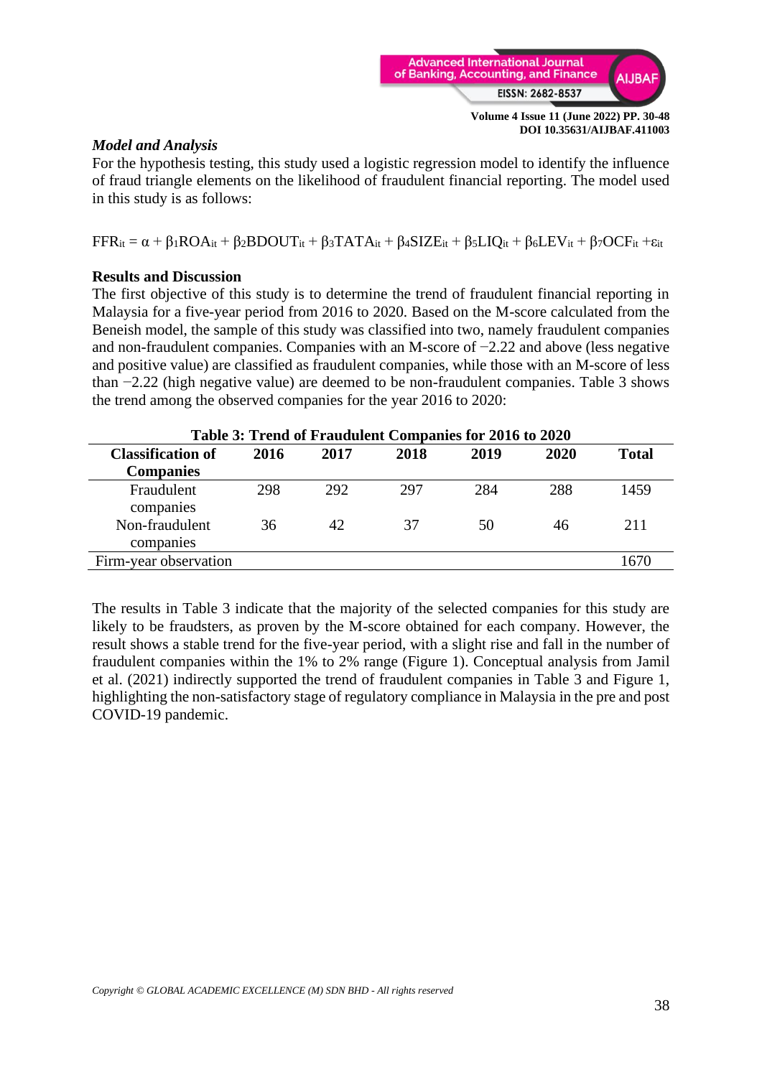

## *Model and Analysis*

For the hypothesis testing, this study used a logistic regression model to identify the influence of fraud triangle elements on the likelihood of fraudulent financial reporting. The model used in this study is as follows:

 $FFR_{it} = \alpha + \beta_1 ROA_{it} + \beta_2 BDOUT_{it} + \beta_3 TATA_{it} + \beta_4 SIZE_{it} + \beta_5 LIQ_{it} + \beta_6 LEV_{it} + \beta_7 OCF_{it} + \epsilon_{it}$ 

## **Results and Discussion**

The first objective of this study is to determine the trend of fraudulent financial reporting in Malaysia for a five-year period from 2016 to 2020. Based on the M-score calculated from the Beneish model, the sample of this study was classified into two, namely fraudulent companies and non-fraudulent companies. Companies with an M-score of −2.22 and above (less negative and positive value) are classified as fraudulent companies, while those with an M-score of less than −2.22 (high negative value) are deemed to be non-fraudulent companies. Table 3 shows the trend among the observed companies for the year 2016 to 2020:

| Table 3: Trend of Fraudulent Companies for 2016 to 2020 |      |      |      |      |      |              |
|---------------------------------------------------------|------|------|------|------|------|--------------|
| <b>Classification of</b>                                | 2016 | 2017 | 2018 | 2019 | 2020 | <b>Total</b> |
| <b>Companies</b>                                        |      |      |      |      |      |              |
| Fraudulent<br>companies                                 | 298  | 292  | 297  | 284  | 288  | 1459         |
| Non-fraudulent<br>companies                             | 36   | 42   | 37   | 50   | 46   | 211          |
| Firm-year observation                                   |      |      |      |      |      | 1670         |

**Table 3: Trend of Fraudulent Companies for 2016 to 2020**

The results in Table 3 indicate that the majority of the selected companies for this study are likely to be fraudsters, as proven by the M-score obtained for each company. However, the result shows a stable trend for the five-year period, with a slight rise and fall in the number of fraudulent companies within the 1% to 2% range (Figure 1). Conceptual analysis from Jamil et al. (2021) indirectly supported the trend of fraudulent companies in Table 3 and Figure 1, highlighting the non-satisfactory stage of regulatory compliance in Malaysia in the pre and post COVID-19 pandemic.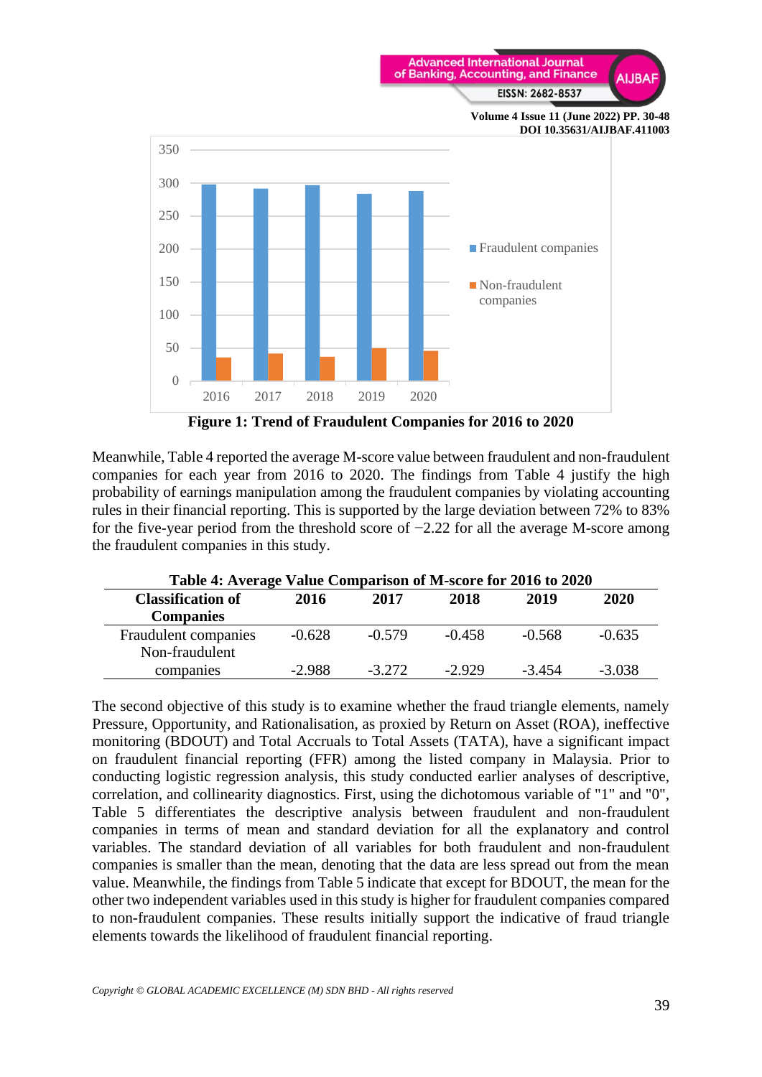

**Figure 1: Trend of Fraudulent Companies for 2016 to 2020**

Meanwhile, Table 4 reported the average M-score value between fraudulent and non-fraudulent companies for each year from 2016 to 2020. The findings from Table 4 justify the high probability of earnings manipulation among the fraudulent companies by violating accounting rules in their financial reporting. This is supported by the large deviation between 72% to 83% for the five-year period from the threshold score of  $-2.22$  for all the average M-score among the fraudulent companies in this study.

| Table 4: Average Value Comparison of M-score for 2016 to 2020 |          |          |          |          |          |  |  |
|---------------------------------------------------------------|----------|----------|----------|----------|----------|--|--|
| <b>Classification of</b>                                      | 2016     | 2017     | 2018     | 2019     | 2020     |  |  |
| <b>Companies</b>                                              |          |          |          |          |          |  |  |
| Fraudulent companies                                          | $-0.628$ | $-0.579$ | $-0.458$ | $-0.568$ | $-0.635$ |  |  |
| Non-fraudulent                                                |          |          |          |          |          |  |  |
| companies                                                     | $-2.988$ | $-3.272$ | $-2.929$ | $-3.454$ | $-3.038$ |  |  |

The second objective of this study is to examine whether the fraud triangle elements, namely Pressure, Opportunity, and Rationalisation, as proxied by Return on Asset (ROA), ineffective monitoring (BDOUT) and Total Accruals to Total Assets (TATA), have a significant impact on fraudulent financial reporting (FFR) among the listed company in Malaysia. Prior to conducting logistic regression analysis, this study conducted earlier analyses of descriptive, correlation, and collinearity diagnostics. First, using the dichotomous variable of "1" and "0", Table 5 differentiates the descriptive analysis between fraudulent and non-fraudulent companies in terms of mean and standard deviation for all the explanatory and control variables. The standard deviation of all variables for both fraudulent and non-fraudulent companies is smaller than the mean, denoting that the data are less spread out from the mean value. Meanwhile, the findings from Table 5 indicate that except for BDOUT, the mean for the other two independent variables used in this study is higher for fraudulent companies compared to non-fraudulent companies. These results initially support the indicative of fraud triangle elements towards the likelihood of fraudulent financial reporting.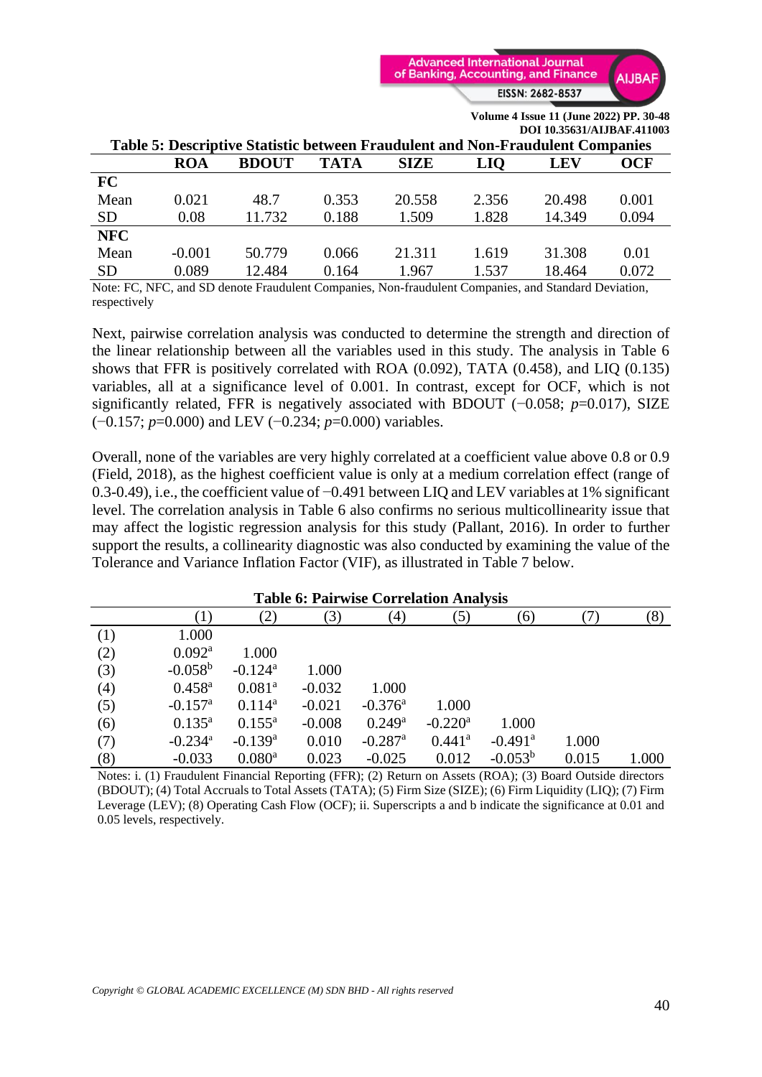

|                                        |                  |              |             |                                                                                                                                                             |            | <b>POI IV.</b> 2021/THJP/II . TIIVOJ |       |
|----------------------------------------|------------------|--------------|-------------|-------------------------------------------------------------------------------------------------------------------------------------------------------------|------------|--------------------------------------|-------|
|                                        |                  |              |             | Table 5: Descriptive Statistic between Fraudulent and Non-Fraudulent Companies                                                                              |            |                                      |       |
|                                        | <b>ROA</b>       | <b>BDOUT</b> | <b>TATA</b> | <b>SIZE</b>                                                                                                                                                 | <b>LIO</b> | LEV                                  | OCF   |
| FC                                     |                  |              |             |                                                                                                                                                             |            |                                      |       |
| Mean                                   | 0.021            | 48.7         | 0.353       | 20.558                                                                                                                                                      | 2.356      | 20.498                               | 0.001 |
| <b>SD</b>                              | 0.08             | 11.732       | 0.188       | 1.509                                                                                                                                                       | 1.828      | 14.349                               | 0.094 |
| <b>NFC</b>                             |                  |              |             |                                                                                                                                                             |            |                                      |       |
| Mean                                   | $-0.001$         | 50.779       | 0.066       | 21.311                                                                                                                                                      | 1.619      | 31.308                               | 0.01  |
| <b>SD</b>                              | 0.089            | 12.484       | 0.164       | 1.967                                                                                                                                                       | 1.537      | 18.464                               | 0.072 |
| $\mathbf{v}$ $\mathbf{v}$ $\mathbf{v}$ | 10D <sub>1</sub> |              |             | $\mathbf{r}$ $\mathbf{r}$ $\mathbf{r}$ $\mathbf{r}$ $\mathbf{r}$ $\mathbf{r}$ $\mathbf{r}$ $\mathbf{r}$ $\mathbf{r}$ $\mathbf{r}$ $\mathbf{r}$ $\mathbf{r}$ |            | 10.11 <sub>h</sub>                   |       |

Note: FC, NFC, and SD denote Fraudulent Companies, Non-fraudulent Companies, and Standard Deviation, respectively

Next, pairwise correlation analysis was conducted to determine the strength and direction of the linear relationship between all the variables used in this study. The analysis in Table 6 shows that FFR is positively correlated with ROA (0.092), TATA (0.458), and LIQ (0.135) variables, all at a significance level of 0.001. In contrast, except for OCF, which is not significantly related, FFR is negatively associated with BDOUT (−0.058; *p*=0.017), SIZE (−0.157; *p*=0.000) and LEV (−0.234; *p*=0.000) variables.

Overall, none of the variables are very highly correlated at a coefficient value above 0.8 or 0.9 (Field, 2018), as the highest coefficient value is only at a medium correlation effect (range of 0.3-0.49), i.e., the coefficient value of −0.491 between LIQ and LEV variables at 1% significant level. The correlation analysis in Table 6 also confirms no serious multicollinearity issue that may affect the logistic regression analysis for this study (Pallant, 2016). In order to further support the results, a collinearity diagnostic was also conducted by examining the value of the Tolerance and Variance Inflation Factor (VIF), as illustrated in Table 7 below.

| <b>Table 6: Pairwise Correlation Analysis</b> |                       |                       |          |                       |                       |                       |       |       |
|-----------------------------------------------|-----------------------|-----------------------|----------|-----------------------|-----------------------|-----------------------|-------|-------|
|                                               | $\left(1\right)$      | $\mathbf{2})$         | (3)      | $\left( 4\right)$     | (5)                   | (6)                   |       | (8)   |
| (1)                                           | 1.000                 |                       |          |                       |                       |                       |       |       |
| (2)                                           | $0.092^{\rm a}$       | 1.000                 |          |                       |                       |                       |       |       |
| (3)                                           | $-0.058^{b}$          | $-0.124$ <sup>a</sup> | 1.000    |                       |                       |                       |       |       |
| (4)                                           | $0.458^{a}$           | $0.081^{a}$           | $-0.032$ | 1.000                 |                       |                       |       |       |
| (5)                                           | $-0.157$ <sup>a</sup> | $0.114^{a}$           | $-0.021$ | $-0.376$ <sup>a</sup> | 1.000                 |                       |       |       |
| (6)                                           | $0.135^{a}$           | $0.155^{\rm a}$       | $-0.008$ | $0.249^{\rm a}$       | $-0.220$ <sup>a</sup> | 1.000                 |       |       |
| (7)                                           | $-0.234$ <sup>a</sup> | $-0.139$ <sup>a</sup> | 0.010    | $-0.287$ <sup>a</sup> | $0.441$ <sup>a</sup>  | $-0.491$ <sup>a</sup> | 1.000 |       |
| (8)                                           | $-0.033$              | $0.080^{\rm a}$       | 0.023    | $-0.025$              | 0.012                 | $-0.053^{b}$          | 0.015 | 1.000 |

Notes: i. (1) Fraudulent Financial Reporting (FFR); (2) Return on Assets (ROA); (3) Board Outside directors (BDOUT); (4) Total Accruals to Total Assets (TATA); (5) Firm Size (SIZE); (6) Firm Liquidity (LIQ); (7) Firm Leverage (LEV); (8) Operating Cash Flow (OCF); ii. Superscripts a and b indicate the significance at 0.01 and 0.05 levels, respectively.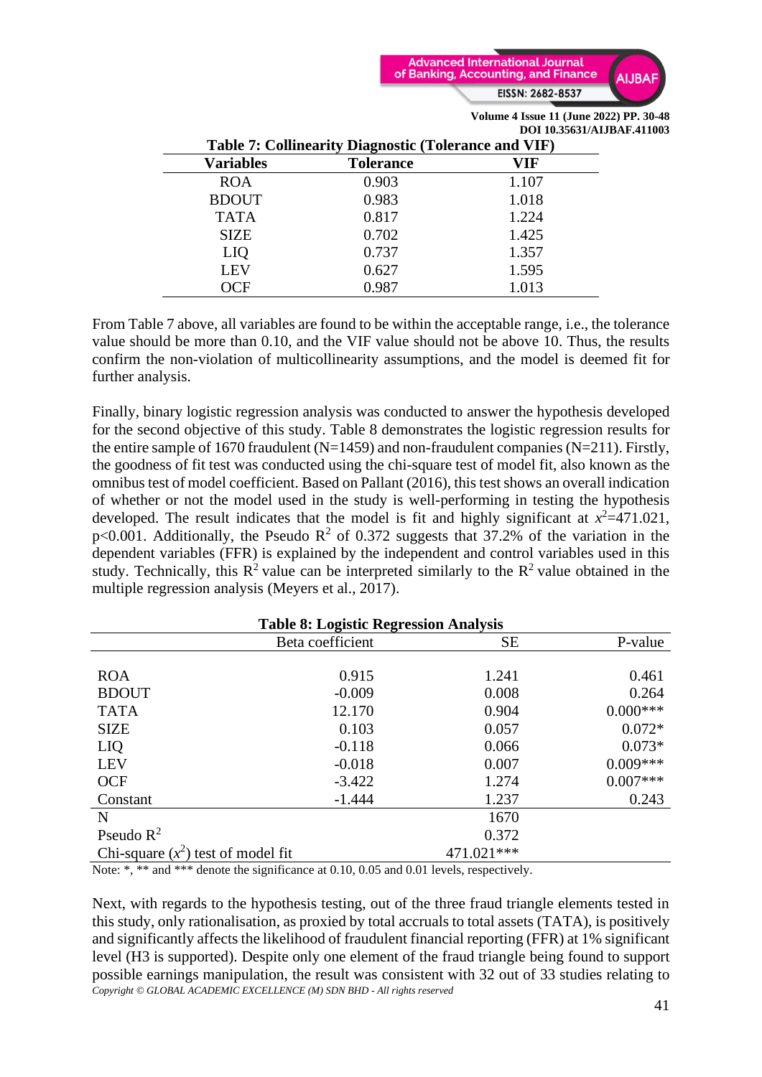

|                                                             |                  | <b>DOI 19.99991/ARDAI IN</b> |  |  |  |
|-------------------------------------------------------------|------------------|------------------------------|--|--|--|
| <b>Table 7: Collinearity Diagnostic (Tolerance and VIF)</b> |                  |                              |  |  |  |
| <b>Variables</b>                                            | <b>Tolerance</b> | VIF                          |  |  |  |
| <b>ROA</b>                                                  | 0.903            | 1.107                        |  |  |  |
| <b>BDOUT</b>                                                | 0.983            | 1.018                        |  |  |  |
| <b>TATA</b>                                                 | 0.817            | 1.224                        |  |  |  |
| <b>SIZE</b>                                                 | 0.702            | 1.425                        |  |  |  |
| LIQ                                                         | 0.737            | 1.357                        |  |  |  |
| <b>LEV</b>                                                  | 0.627            | 1.595                        |  |  |  |
|                                                             | 0.987            | 1.013                        |  |  |  |

From Table 7 above, all variables are found to be within the acceptable range, i.e., the tolerance value should be more than 0.10, and the VIF value should not be above 10. Thus, the results confirm the non-violation of multicollinearity assumptions, and the model is deemed fit for further analysis.

Finally, binary logistic regression analysis was conducted to answer the hypothesis developed for the second objective of this study. Table 8 demonstrates the logistic regression results for the entire sample of 1670 fraudulent (N=1459) and non-fraudulent companies (N=211). Firstly, the goodness of fit test was conducted using the chi-square test of model fit, also known as the omnibus test of model coefficient. Based on Pallant (2016), this test shows an overall indication of whether or not the model used in the study is well-performing in testing the hypothesis developed. The result indicates that the model is fit and highly significant at  $x^2=471.021$ , p<0.001. Additionally, the Pseudo  $\mathbb{R}^2$  of 0.372 suggests that 37.2% of the variation in the dependent variables (FFR) is explained by the independent and control variables used in this study. Technically, this  $\mathbb{R}^2$  value can be interpreted similarly to the  $\mathbb{R}^2$  value obtained in the multiple regression analysis (Meyers et al., 2017).

| <b>Table 8: Logistic Regression Analysis</b> |                  |            |            |  |  |  |
|----------------------------------------------|------------------|------------|------------|--|--|--|
|                                              | Beta coefficient | <b>SE</b>  | P-value    |  |  |  |
|                                              |                  |            |            |  |  |  |
| <b>ROA</b>                                   | 0.915            | 1.241      | 0.461      |  |  |  |
| <b>BDOUT</b>                                 | $-0.009$         | 0.008      | 0.264      |  |  |  |
| <b>TATA</b>                                  | 12.170           | 0.904      | $0.000***$ |  |  |  |
| <b>SIZE</b>                                  | 0.103            | 0.057      | $0.072*$   |  |  |  |
| LIQ                                          | $-0.118$         | 0.066      | $0.073*$   |  |  |  |
| <b>LEV</b>                                   | $-0.018$         | 0.007      | $0.009***$ |  |  |  |
| <b>OCF</b>                                   | $-3.422$         | 1.274      | $0.007***$ |  |  |  |
| Constant                                     | $-1.444$         | 1.237      | 0.243      |  |  |  |
| $\mathbf N$                                  |                  | 1670       |            |  |  |  |
| Pseudo $R^2$                                 |                  | 0.372      |            |  |  |  |
| Chi-square $(x^2)$ test of model fit         |                  | 471.021*** |            |  |  |  |

Note: \*, \*\* and \*\*\* denote the significance at 0.10, 0.05 and 0.01 levels, respectively.

*Copyright © GLOBAL ACADEMIC EXCELLENCE (M) SDN BHD - All rights reserved* Next, with regards to the hypothesis testing, out of the three fraud triangle elements tested in this study, only rationalisation, as proxied by total accruals to total assets (TATA), is positively and significantly affects the likelihood of fraudulent financial reporting (FFR) at 1% significant level (H3 is supported). Despite only one element of the fraud triangle being found to support possible earnings manipulation, the result was consistent with 32 out of 33 studies relating to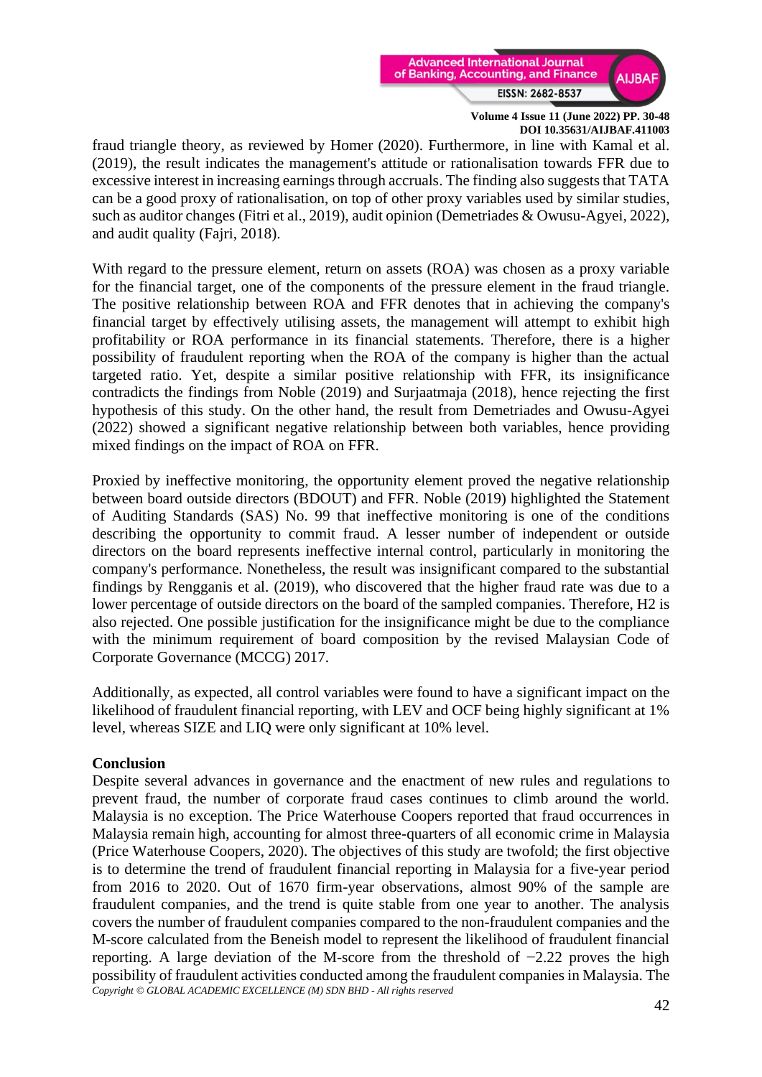

fraud triangle theory, as reviewed by Homer (2020). Furthermore, in line with Kamal et al. (2019), the result indicates the management's attitude or rationalisation towards FFR due to excessive interest in increasing earnings through accruals. The finding also suggests that TATA can be a good proxy of rationalisation, on top of other proxy variables used by similar studies, such as auditor changes (Fitri et al., 2019), audit opinion (Demetriades & Owusu-Agyei, 2022), and audit quality (Fajri, 2018).

With regard to the pressure element, return on assets (ROA) was chosen as a proxy variable for the financial target, one of the components of the pressure element in the fraud triangle. The positive relationship between ROA and FFR denotes that in achieving the company's financial target by effectively utilising assets, the management will attempt to exhibit high profitability or ROA performance in its financial statements. Therefore, there is a higher possibility of fraudulent reporting when the ROA of the company is higher than the actual targeted ratio. Yet, despite a similar positive relationship with FFR, its insignificance contradicts the findings from Noble (2019) and Surjaatmaja (2018), hence rejecting the first hypothesis of this study. On the other hand, the result from Demetriades and Owusu-Agyei (2022) showed a significant negative relationship between both variables, hence providing mixed findings on the impact of ROA on FFR.

Proxied by ineffective monitoring, the opportunity element proved the negative relationship between board outside directors (BDOUT) and FFR. Noble (2019) highlighted the Statement of Auditing Standards (SAS) No. 99 that ineffective monitoring is one of the conditions describing the opportunity to commit fraud. A lesser number of independent or outside directors on the board represents ineffective internal control, particularly in monitoring the company's performance. Nonetheless, the result was insignificant compared to the substantial findings by Rengganis et al. (2019), who discovered that the higher fraud rate was due to a lower percentage of outside directors on the board of the sampled companies. Therefore, H2 is also rejected. One possible justification for the insignificance might be due to the compliance with the minimum requirement of board composition by the revised Malaysian Code of Corporate Governance (MCCG) 2017.

Additionally, as expected, all control variables were found to have a significant impact on the likelihood of fraudulent financial reporting, with LEV and OCF being highly significant at 1% level, whereas SIZE and LIQ were only significant at 10% level.

### **Conclusion**

*Copyright © GLOBAL ACADEMIC EXCELLENCE (M) SDN BHD - All rights reserved* Despite several advances in governance and the enactment of new rules and regulations to prevent fraud, the number of corporate fraud cases continues to climb around the world. Malaysia is no exception. The Price Waterhouse Coopers reported that fraud occurrences in Malaysia remain high, accounting for almost three-quarters of all economic crime in Malaysia (Price Waterhouse Coopers, 2020). The objectives of this study are twofold; the first objective is to determine the trend of fraudulent financial reporting in Malaysia for a five-year period from 2016 to 2020. Out of 1670 firm-year observations, almost 90% of the sample are fraudulent companies, and the trend is quite stable from one year to another. The analysis covers the number of fraudulent companies compared to the non-fraudulent companies and the M-score calculated from the Beneish model to represent the likelihood of fraudulent financial reporting. A large deviation of the M-score from the threshold of −2.22 proves the high possibility of fraudulent activities conducted among the fraudulent companies in Malaysia. The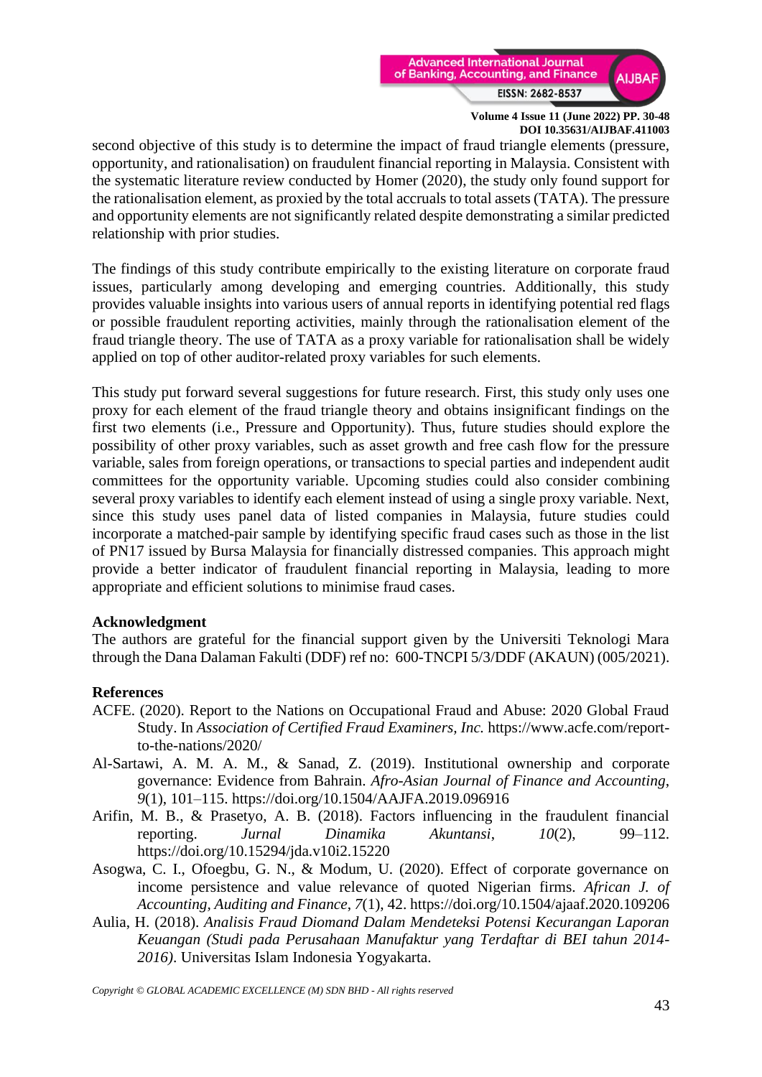

second objective of this study is to determine the impact of fraud triangle elements (pressure, opportunity, and rationalisation) on fraudulent financial reporting in Malaysia. Consistent with the systematic literature review conducted by Homer (2020), the study only found support for the rationalisation element, as proxied by the total accruals to total assets (TATA). The pressure and opportunity elements are not significantly related despite demonstrating a similar predicted relationship with prior studies.

The findings of this study contribute empirically to the existing literature on corporate fraud issues, particularly among developing and emerging countries. Additionally, this study provides valuable insights into various users of annual reports in identifying potential red flags or possible fraudulent reporting activities, mainly through the rationalisation element of the fraud triangle theory. The use of TATA as a proxy variable for rationalisation shall be widely applied on top of other auditor-related proxy variables for such elements.

This study put forward several suggestions for future research. First, this study only uses one proxy for each element of the fraud triangle theory and obtains insignificant findings on the first two elements (i.e., Pressure and Opportunity). Thus, future studies should explore the possibility of other proxy variables, such as asset growth and free cash flow for the pressure variable, sales from foreign operations, or transactions to special parties and independent audit committees for the opportunity variable. Upcoming studies could also consider combining several proxy variables to identify each element instead of using a single proxy variable. Next, since this study uses panel data of listed companies in Malaysia, future studies could incorporate a matched-pair sample by identifying specific fraud cases such as those in the list of PN17 issued by Bursa Malaysia for financially distressed companies. This approach might provide a better indicator of fraudulent financial reporting in Malaysia, leading to more appropriate and efficient solutions to minimise fraud cases.

### **Acknowledgment**

The authors are grateful for the financial support given by the Universiti Teknologi Mara through the Dana Dalaman Fakulti (DDF) ref no[: 600-TNCPI 5/3/DDF \(AKAUN\) \(005/2021\).](https://orchid.uitm.edu.my/irmis/view/boundary/application/myresearch/view_details.php?file_no=5IwLcx1fHiydlIp19O/KRZL554nUtD6bWWFMuTyauyj5N8IkJpc87k9whSG3W5JdldTH2ykQfznizWOGFxRehQ==)

### **References**

- ACFE. (2020). Report to the Nations on Occupational Fraud and Abuse: 2020 Global Fraud Study. In *Association of Certified Fraud Examiners, Inc.* https://www.acfe.com/reportto-the-nations/2020/
- Al-Sartawi, A. M. A. M., & Sanad, Z. (2019). Institutional ownership and corporate governance: Evidence from Bahrain. *Afro-Asian Journal of Finance and Accounting*, *9*(1), 101–115. https://doi.org/10.1504/AAJFA.2019.096916
- Arifin, M. B., & Prasetyo, A. B. (2018). Factors influencing in the fraudulent financial reporting. *Jurnal Dinamika Akuntansi*, *10*(2), 99–112. https://doi.org/10.15294/jda.v10i2.15220
- Asogwa, C. I., Ofoegbu, G. N., & Modum, U. (2020). Effect of corporate governance on income persistence and value relevance of quoted Nigerian firms. *African J. of Accounting, Auditing and Finance*, *7*(1), 42. https://doi.org/10.1504/ajaaf.2020.109206
- Aulia, H. (2018). *Analisis Fraud Diomand Dalam Mendeteksi Potensi Kecurangan Laporan Keuangan (Studi pada Perusahaan Manufaktur yang Terdaftar di BEI tahun 2014- 2016)*. Universitas Islam Indonesia Yogyakarta.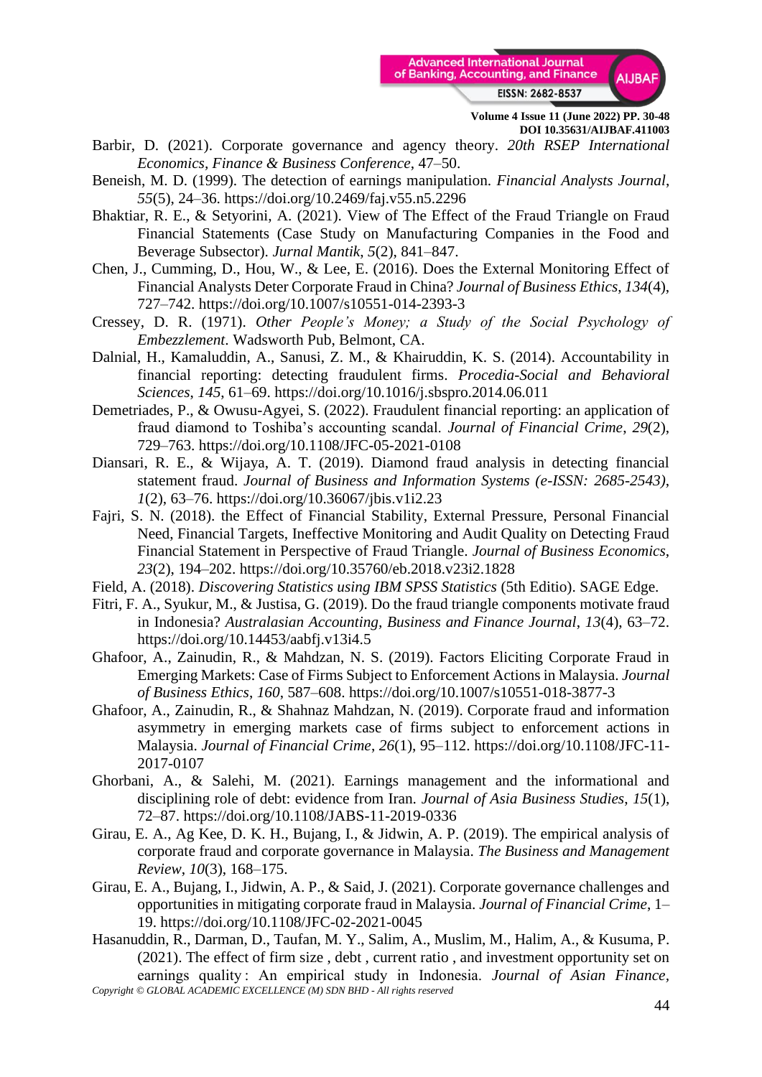

- Barbir, D. (2021). Corporate governance and agency theory. *20th RSEP International Economics, Finance & Business Conference*, 47–50.
- Beneish, M. D. (1999). The detection of earnings manipulation. *Financial Analysts Journal*, *55*(5), 24–36. https://doi.org/10.2469/faj.v55.n5.2296
- Bhaktiar, R. E., & Setyorini, A. (2021). View of The Effect of the Fraud Triangle on Fraud Financial Statements (Case Study on Manufacturing Companies in the Food and Beverage Subsector). *Jurnal Mantik*, *5*(2), 841–847.
- Chen, J., Cumming, D., Hou, W., & Lee, E. (2016). Does the External Monitoring Effect of Financial Analysts Deter Corporate Fraud in China? *Journal of Business Ethics*, *134*(4), 727–742. https://doi.org/10.1007/s10551-014-2393-3
- Cressey, D. R. (1971). *Other People's Money; a Study of the Social Psychology of Embezzlement*. Wadsworth Pub, Belmont, CA.
- Dalnial, H., Kamaluddin, A., Sanusi, Z. M., & Khairuddin, K. S. (2014). Accountability in financial reporting: detecting fraudulent firms. *Procedia-Social and Behavioral Sciences*, *145*, 61–69. https://doi.org/10.1016/j.sbspro.2014.06.011
- Demetriades, P., & Owusu-Agyei, S. (2022). Fraudulent financial reporting: an application of fraud diamond to Toshiba's accounting scandal. *Journal of Financial Crime*, *29*(2), 729–763. https://doi.org/10.1108/JFC-05-2021-0108
- Diansari, R. E., & Wijaya, A. T. (2019). Diamond fraud analysis in detecting financial statement fraud. *Journal of Business and Information Systems (e-ISSN: 2685-2543)*, *1*(2), 63–76. https://doi.org/10.36067/jbis.v1i2.23
- Fajri, S. N. (2018). the Effect of Financial Stability, External Pressure, Personal Financial Need, Financial Targets, Ineffective Monitoring and Audit Quality on Detecting Fraud Financial Statement in Perspective of Fraud Triangle. *Journal of Business Economics*, *23*(2), 194–202. https://doi.org/10.35760/eb.2018.v23i2.1828
- Field, A. (2018). *Discovering Statistics using IBM SPSS Statistics* (5th Editio). SAGE Edge.
- Fitri, F. A., Syukur, M., & Justisa, G. (2019). Do the fraud triangle components motivate fraud in Indonesia? *Australasian Accounting, Business and Finance Journal*, *13*(4), 63–72. https://doi.org/10.14453/aabfj.v13i4.5
- Ghafoor, A., Zainudin, R., & Mahdzan, N. S. (2019). Factors Eliciting Corporate Fraud in Emerging Markets: Case of Firms Subject to Enforcement Actions in Malaysia. *Journal of Business Ethics*, *160*, 587–608. https://doi.org/10.1007/s10551-018-3877-3
- Ghafoor, A., Zainudin, R., & Shahnaz Mahdzan, N. (2019). Corporate fraud and information asymmetry in emerging markets case of firms subject to enforcement actions in Malaysia. *Journal of Financial Crime*, *26*(1), 95–112. https://doi.org/10.1108/JFC-11- 2017-0107
- Ghorbani, A., & Salehi, M. (2021). Earnings management and the informational and disciplining role of debt: evidence from Iran. *Journal of Asia Business Studies*, *15*(1), 72–87. https://doi.org/10.1108/JABS-11-2019-0336
- Girau, E. A., Ag Kee, D. K. H., Bujang, I., & Jidwin, A. P. (2019). The empirical analysis of corporate fraud and corporate governance in Malaysia. *The Business and Management Review*, *10*(3), 168–175.
- Girau, E. A., Bujang, I., Jidwin, A. P., & Said, J. (2021). Corporate governance challenges and opportunities in mitigating corporate fraud in Malaysia. *Journal of Financial Crime*, 1– 19. https://doi.org/10.1108/JFC-02-2021-0045
- *Copyright © GLOBAL ACADEMIC EXCELLENCE (M) SDN BHD - All rights reserved* Hasanuddin, R., Darman, D., Taufan, M. Y., Salim, A., Muslim, M., Halim, A., & Kusuma, P. (2021). The effect of firm size , debt , current ratio , and investment opportunity set on earnings quality : An empirical study in Indonesia. *Journal of Asian Finance,*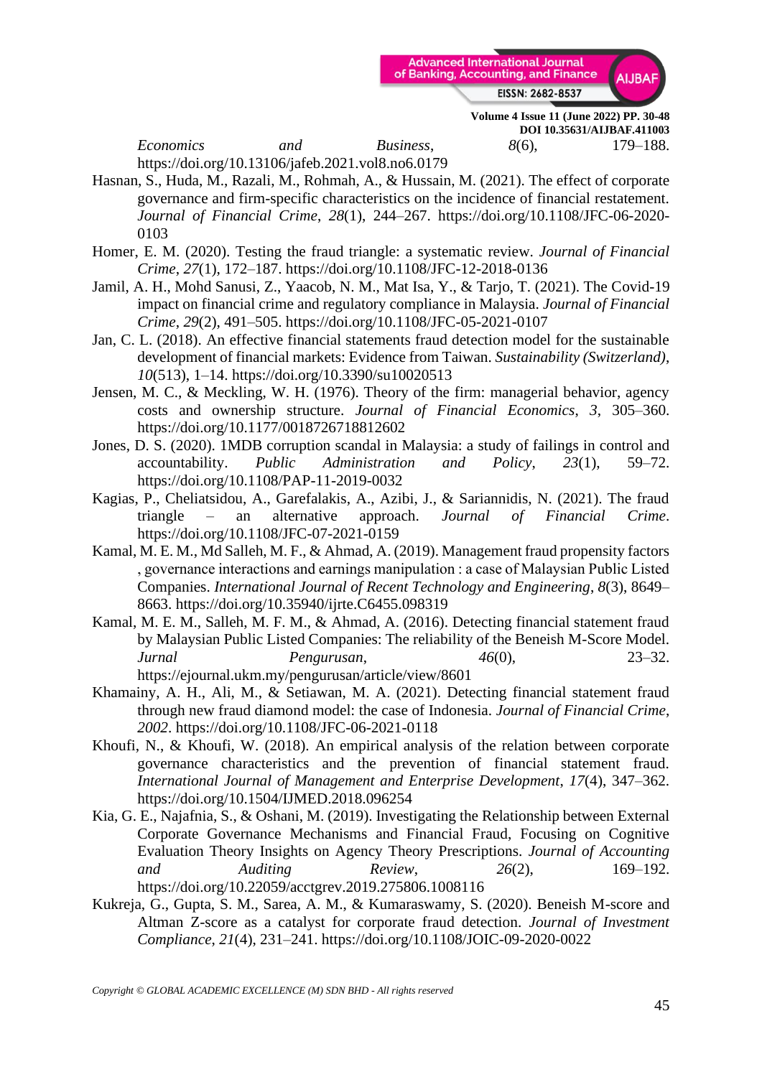

**Volume 4 Issue 11 (June 2022) PP. 30-48 DOI 10.35631/AIJBAF.411003** *Economics and Business*, *8*(6), 179–188.

https://doi.org/10.13106/jafeb.2021.vol8.no6.0179

- Hasnan, S., Huda, M., Razali, M., Rohmah, A., & Hussain, M. (2021). The effect of corporate governance and firm-specific characteristics on the incidence of financial restatement. *Journal of Financial Crime*, *28*(1), 244–267. https://doi.org/10.1108/JFC-06-2020- 0103
- Homer, E. M. (2020). Testing the fraud triangle: a systematic review. *Journal of Financial Crime*, *27*(1), 172–187. https://doi.org/10.1108/JFC-12-2018-0136
- Jamil, A. H., Mohd Sanusi, Z., Yaacob, N. M., Mat Isa, Y., & Tarjo, T. (2021). The Covid-19 impact on financial crime and regulatory compliance in Malaysia. *Journal of Financial Crime*, *29*(2), 491–505. https://doi.org/10.1108/JFC-05-2021-0107
- Jan, C. L. (2018). An effective financial statements fraud detection model for the sustainable development of financial markets: Evidence from Taiwan. *Sustainability (Switzerland)*, *10*(513), 1–14. https://doi.org/10.3390/su10020513
- Jensen, M. C., & Meckling, W. H. (1976). Theory of the firm: managerial behavior, agency costs and ownership structure. *Journal of Financial Economics*, *3*, 305–360. https://doi.org/10.1177/0018726718812602
- Jones, D. S. (2020). 1MDB corruption scandal in Malaysia: a study of failings in control and accountability. *Public Administration and Policy*, *23*(1), 59–72. https://doi.org/10.1108/PAP-11-2019-0032
- Kagias, P., Cheliatsidou, A., Garefalakis, A., Azibi, J., & Sariannidis, N. (2021). The fraud triangle – an alternative approach. *Journal of Financial Crime*. https://doi.org/10.1108/JFC-07-2021-0159
- Kamal, M. E. M., Md Salleh, M. F., & Ahmad, A. (2019). Management fraud propensity factors , governance interactions and earnings manipulation : a case of Malaysian Public Listed Companies. *International Journal of Recent Technology and Engineering*, *8*(3), 8649– 8663. https://doi.org/10.35940/ijrte.C6455.098319
- Kamal, M. E. M., Salleh, M. F. M., & Ahmad, A. (2016). Detecting financial statement fraud by Malaysian Public Listed Companies: The reliability of the Beneish M-Score Model. *Jurnal Pengurusan*, *46*(0), 23–32. https://ejournal.ukm.my/pengurusan/article/view/8601
- Khamainy, A. H., Ali, M., & Setiawan, M. A. (2021). Detecting financial statement fraud through new fraud diamond model: the case of Indonesia. *Journal of Financial Crime*, *2002*. https://doi.org/10.1108/JFC-06-2021-0118
- Khoufi, N., & Khoufi, W. (2018). An empirical analysis of the relation between corporate governance characteristics and the prevention of financial statement fraud. *International Journal of Management and Enterprise Development*, *17*(4), 347–362. https://doi.org/10.1504/IJMED.2018.096254
- Kia, G. E., Najafnia, S., & Oshani, M. (2019). Investigating the Relationship between External Corporate Governance Mechanisms and Financial Fraud, Focusing on Cognitive Evaluation Theory Insights on Agency Theory Prescriptions. *Journal of Accounting and Auditing Review*, *26*(2), 169–192. https://doi.org/10.22059/acctgrev.2019.275806.1008116
- Kukreja, G., Gupta, S. M., Sarea, A. M., & Kumaraswamy, S. (2020). Beneish M-score and Altman Z-score as a catalyst for corporate fraud detection. *Journal of Investment Compliance*, *21*(4), 231–241. https://doi.org/10.1108/JOIC-09-2020-0022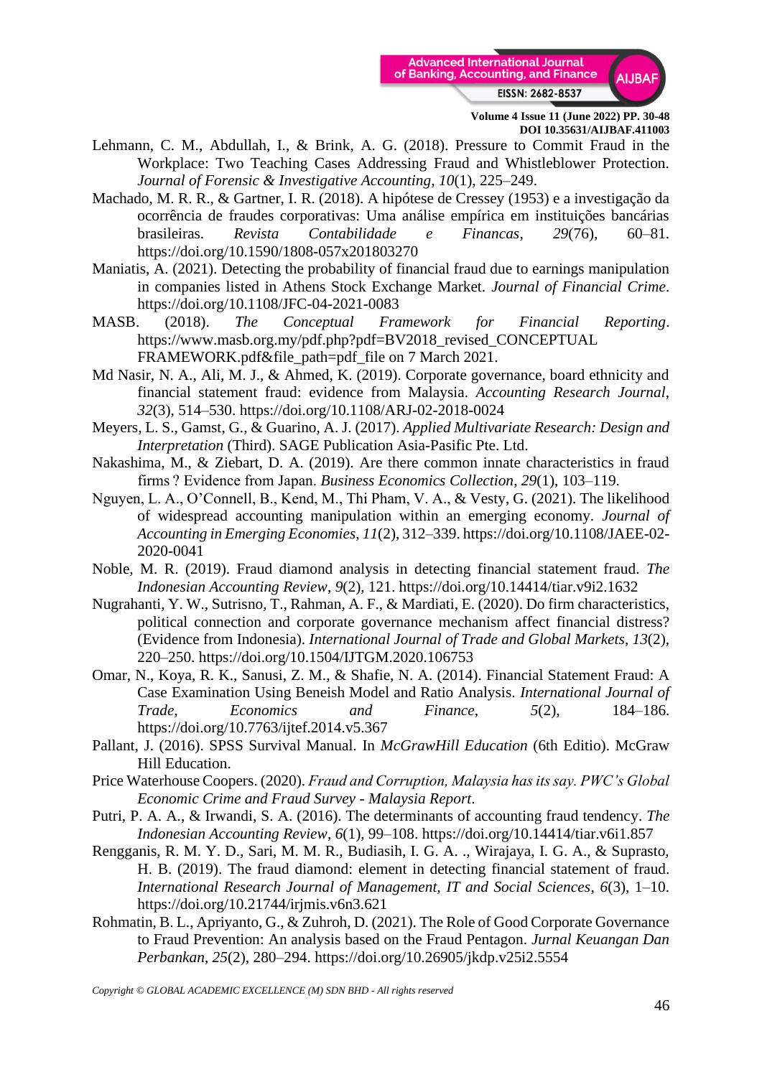

- Lehmann, C. M., Abdullah, I., & Brink, A. G. (2018). Pressure to Commit Fraud in the Workplace: Two Teaching Cases Addressing Fraud and Whistleblower Protection. *Journal of Forensic & Investigative Accounting*, *10*(1), 225–249.
- Machado, M. R. R., & Gartner, I. R. (2018). A hipótese de Cressey (1953) e a investigação da ocorrência de fraudes corporativas: Uma análise empírica em instituições bancárias brasileiras. *Revista Contabilidade e Financas*, *29*(76), 60–81. https://doi.org/10.1590/1808-057x201803270
- Maniatis, A. (2021). Detecting the probability of financial fraud due to earnings manipulation in companies listed in Athens Stock Exchange Market. *Journal of Financial Crime*. https://doi.org/10.1108/JFC-04-2021-0083
- MASB. (2018). *The Conceptual Framework for Financial Reporting*. https://www.masb.org.my/pdf.php?pdf=BV2018\_revised\_CONCEPTUAL FRAMEWORK.pdf&file\_path=pdf\_file on 7 March 2021.
- Md Nasir, N. A., Ali, M. J., & Ahmed, K. (2019). Corporate governance, board ethnicity and financial statement fraud: evidence from Malaysia. *Accounting Research Journal*, *32*(3), 514–530. https://doi.org/10.1108/ARJ-02-2018-0024
- Meyers, L. S., Gamst, G., & Guarino, A. J. (2017). *Applied Multivariate Research: Design and Interpretation* (Third). SAGE Publication Asia-Pasific Pte. Ltd.
- Nakashima, M., & Ziebart, D. A. (2019). Are there common innate characteristics in fraud firms ? Evidence from Japan. *Business Economics Collection*, *29*(1), 103–119.
- Nguyen, L. A., O'Connell, B., Kend, M., Thi Pham, V. A., & Vesty, G. (2021). The likelihood of widespread accounting manipulation within an emerging economy. *Journal of Accounting in Emerging Economies*, *11*(2), 312–339. https://doi.org/10.1108/JAEE-02- 2020-0041
- Noble, M. R. (2019). Fraud diamond analysis in detecting financial statement fraud. *The Indonesian Accounting Review*, *9*(2), 121. https://doi.org/10.14414/tiar.v9i2.1632
- Nugrahanti, Y. W., Sutrisno, T., Rahman, A. F., & Mardiati, E. (2020). Do firm characteristics, political connection and corporate governance mechanism affect financial distress? (Evidence from Indonesia). *International Journal of Trade and Global Markets*, *13*(2), 220–250. https://doi.org/10.1504/IJTGM.2020.106753
- Omar, N., Koya, R. K., Sanusi, Z. M., & Shafie, N. A. (2014). Financial Statement Fraud: A Case Examination Using Beneish Model and Ratio Analysis. *International Journal of Trade, Economics and Finance*, *5*(2), 184–186. https://doi.org/10.7763/ijtef.2014.v5.367
- Pallant, J. (2016). SPSS Survival Manual. In *McGrawHill Education* (6th Editio). McGraw Hill Education.
- Price Waterhouse Coopers. (2020). *Fraud and Corruption, Malaysia has its say. PWC's Global Economic Crime and Fraud Survey - Malaysia Report*.
- Putri, P. A. A., & Irwandi, S. A. (2016). The determinants of accounting fraud tendency. *The Indonesian Accounting Review*, *6*(1), 99–108. https://doi.org/10.14414/tiar.v6i1.857
- Rengganis, R. M. Y. D., Sari, M. M. R., Budiasih, I. G. A. ., Wirajaya, I. G. A., & Suprasto, H. B. (2019). The fraud diamond: element in detecting financial statement of fraud. *International Research Journal of Management, IT and Social Sciences*, *6*(3), 1–10. https://doi.org/10.21744/irjmis.v6n3.621
- Rohmatin, B. L., Apriyanto, G., & Zuhroh, D. (2021). The Role of Good Corporate Governance to Fraud Prevention: An analysis based on the Fraud Pentagon. *Jurnal Keuangan Dan Perbankan*, *25*(2), 280–294. https://doi.org/10.26905/jkdp.v25i2.5554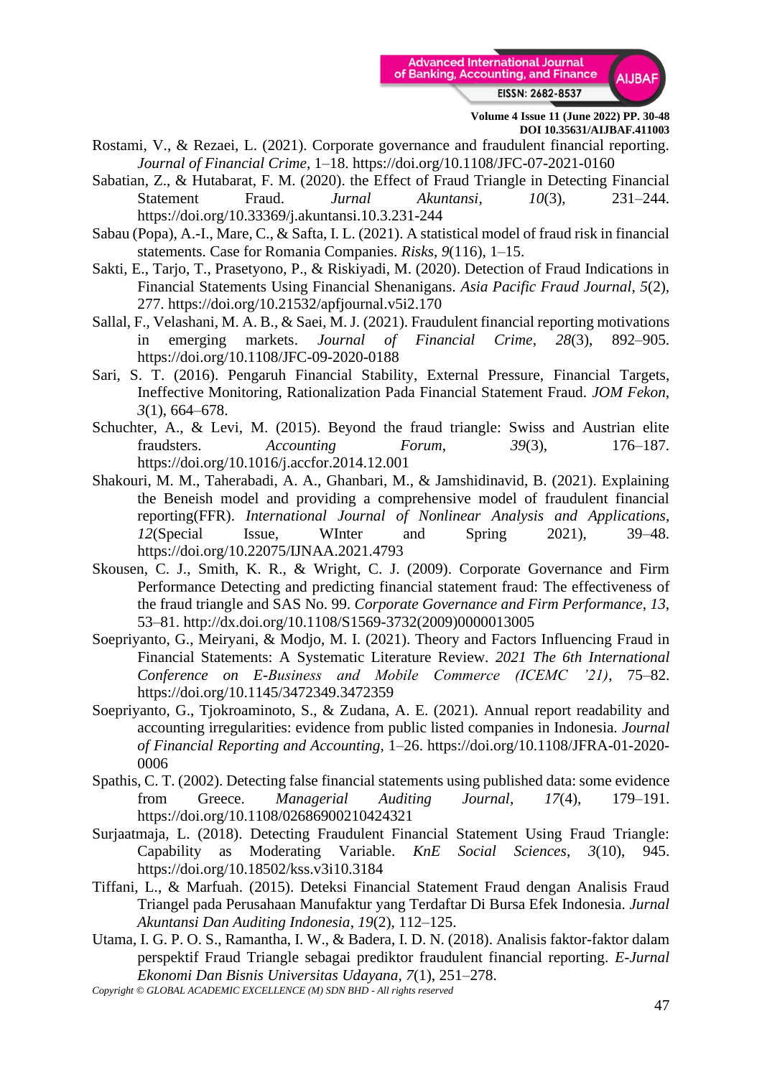

- Rostami, V., & Rezaei, L. (2021). Corporate governance and fraudulent financial reporting. *Journal of Financial Crime*, 1–18. https://doi.org/10.1108/JFC-07-2021-0160
- Sabatian, Z., & Hutabarat, F. M. (2020). the Effect of Fraud Triangle in Detecting Financial Statement Fraud. *Jurnal Akuntansi*, *10*(3), 231–244. https://doi.org/10.33369/j.akuntansi.10.3.231-244
- Sabau (Popa), A.-I., Mare, C., & Safta, I. L. (2021). A statistical model of fraud risk in financial statements. Case for Romania Companies. *Risks*, *9*(116), 1–15.
- Sakti, E., Tarjo, T., Prasetyono, P., & Riskiyadi, M. (2020). Detection of Fraud Indications in Financial Statements Using Financial Shenanigans. *Asia Pacific Fraud Journal*, *5*(2), 277. https://doi.org/10.21532/apfjournal.v5i2.170
- Sallal, F., Velashani, M. A. B., & Saei, M. J. (2021). Fraudulent financial reporting motivations in emerging markets. *Journal of Financial Crime*, *28*(3), 892–905. https://doi.org/10.1108/JFC-09-2020-0188
- Sari, S. T. (2016). Pengaruh Financial Stability, External Pressure, Financial Targets, Ineffective Monitoring, Rationalization Pada Financial Statement Fraud. *JOM Fekon*, *3*(1), 664–678.
- Schuchter, A., & Levi, M. (2015). Beyond the fraud triangle: Swiss and Austrian elite fraudsters. *Accounting Forum*, *39*(3), 176–187. https://doi.org/10.1016/j.accfor.2014.12.001
- Shakouri, M. M., Taherabadi, A. A., Ghanbari, M., & Jamshidinavid, B. (2021). Explaining the Beneish model and providing a comprehensive model of fraudulent financial reporting(FFR). *International Journal of Nonlinear Analysis and Applications*, *12*(Special Issue, WInter and Spring 2021), 39–48. https://doi.org/10.22075/IJNAA.2021.4793
- Skousen, C. J., Smith, K. R., & Wright, C. J. (2009). Corporate Governance and Firm Performance Detecting and predicting financial statement fraud: The effectiveness of the fraud triangle and SAS No. 99. *Corporate Governance and Firm Performance*, *13*, 53–81. http://dx.doi.org/10.1108/S1569-3732(2009)0000013005
- Soepriyanto, G., Meiryani, & Modjo, M. I. (2021). Theory and Factors Influencing Fraud in Financial Statements: A Systematic Literature Review. *2021 The 6th International Conference on E-Business and Mobile Commerce (ICEMC '21)*, 75–82. https://doi.org/10.1145/3472349.3472359
- Soepriyanto, G., Tjokroaminoto, S., & Zudana, A. E. (2021). Annual report readability and accounting irregularities: evidence from public listed companies in Indonesia. *Journal of Financial Reporting and Accounting*, 1–26. https://doi.org/10.1108/JFRA-01-2020- 0006
- Spathis, C. T. (2002). Detecting false financial statements using published data: some evidence from Greece. *Managerial Auditing Journal*, *17*(4), 179–191. https://doi.org/10.1108/02686900210424321
- Surjaatmaja, L. (2018). Detecting Fraudulent Financial Statement Using Fraud Triangle: Capability as Moderating Variable. *KnE Social Sciences*, *3*(10), 945. https://doi.org/10.18502/kss.v3i10.3184
- Tiffani, L., & Marfuah. (2015). Deteksi Financial Statement Fraud dengan Analisis Fraud Triangel pada Perusahaan Manufaktur yang Terdaftar Di Bursa Efek Indonesia. *Jurnal Akuntansi Dan Auditing Indonesia*, *19*(2), 112–125.
- Utama, I. G. P. O. S., Ramantha, I. W., & Badera, I. D. N. (2018). Analisis faktor-faktor dalam perspektif Fraud Triangle sebagai prediktor fraudulent financial reporting. *E-Jurnal Ekonomi Dan Bisnis Universitas Udayana*, *7*(1), 251–278.

*Copyright © GLOBAL ACADEMIC EXCELLENCE (M) SDN BHD - All rights reserved*